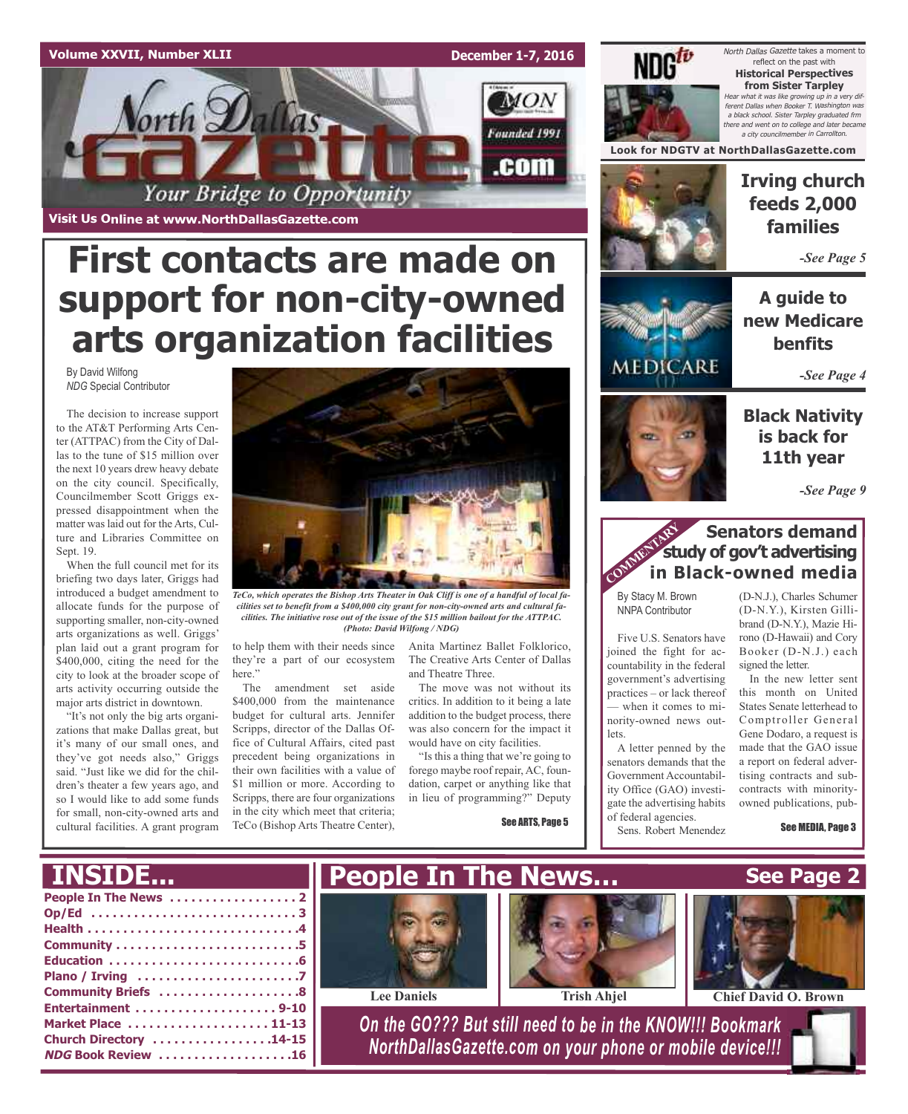### **Volume XXVII, Number XLII**

**Visit Us Online at www.NorthDallasGazette.com**

orth **Dal** 

By David Wilfong *NDG* Special Contributor

Sept. 19.

allocate funds for the purpose of supporting smaller, non-city-owned arts organizations as well. Griggs' plan laid out a grant program for \$400,000, citing the need for the city to look at the broader scope of arts activity occurring outside the major arts district in downtown. "It's not only the big arts organizations that make Dallas great, but it's many of our small ones, and they've got needs also," Griggs said. "Just like we did for the children's theater a few years ago, and so I would like to add some funds for small, non-city-owned arts and

**December 1-7, 2016**

 $MON$ 

Founded 1991

.com



North Dallas Gazette takes a moment to reflect on the past with **Historical Perspectives from Sister Tarpley** Hear what it was like growing up in <sup>a</sup> very different Dallas when Booker T. Washington was <sup>a</sup> black school. Sister Tarpley graduated frm there and went on to college and later became a city councilmember in Carro.

**Look for NDGTV at NorthDallasGazette.com**



### **Irving church feeds 2,000 families**

*-See Page 5*

**A guide to new Medicare benfits**

*-See Page 4*

**Black Nativity is back for**

**11th year**

*-See Page 9*

### **Senators demand study of gov't advertising in Black-owned media** COMMENT Str

By Stacy M. Brown NNPA Contributor

Five U.S. Senators have joined the fight for accountability in the federal government's advertising practices – or lack thereof — when it comes to minority-owned news outlets.

A letter penned by the senators demands that the Government Accountability Office (GAO) investigate the advertising habits of federal agencies.

(D-N.J.), Charles Schumer (D-N.Y.), Kirsten Gillibrand (D-N.Y.), Mazie Hirono (D-Hawaii) and Cory Booker (D-N.J.) each signed the letter.

In the new letter sent this month on United States Senate letterhead to Comptroller General Gene Dodaro, a request is made that the GAO issue a report on federal advertising contracts and subcontracts with minorityowned publications, pub-

See MEDIA, Page 3



*TeCo, which operates the Bishop Arts Theater in Oak Cliff is one of a handful of local facilities set to benefit from a \$400,000 city grant for non-city-owned arts and cultural facilities. The initiative rose out of the issue of the \$15 million bailout for the ATTPAC. (Photo: David Wilfong / NDG)*

to help them with their needs since they're a part of our ecosystem here."

**First contacts are made on**

Your Bridge to Opportunity

**support for non-city-owned**

**arts organization facilities**

The amendment set aside \$400,000 from the maintenance budget for cultural arts. Jennifer Scripps, director of the Dallas Office of Cultural Affairs, cited past precedent being organizations in their own facilities with a value of \$1 million or more. According to Scripps, there are four organizations in the city which meet that criteria; TeCo (Bishop Arts Theatre Center),

Anita Martinez Ballet Folklorico, The Creative Arts Center of Dallas and Theatre Three.

The move was not without its critics. In addition to it being a late addition to the budget process, there was also concern for the impact it would have on city facilities.

"Is this a thing that we're going to forego maybe roof repair, AC, foundation, carpet or anything like that in lieu of programming?" Deputy

See ARTS, Page 5



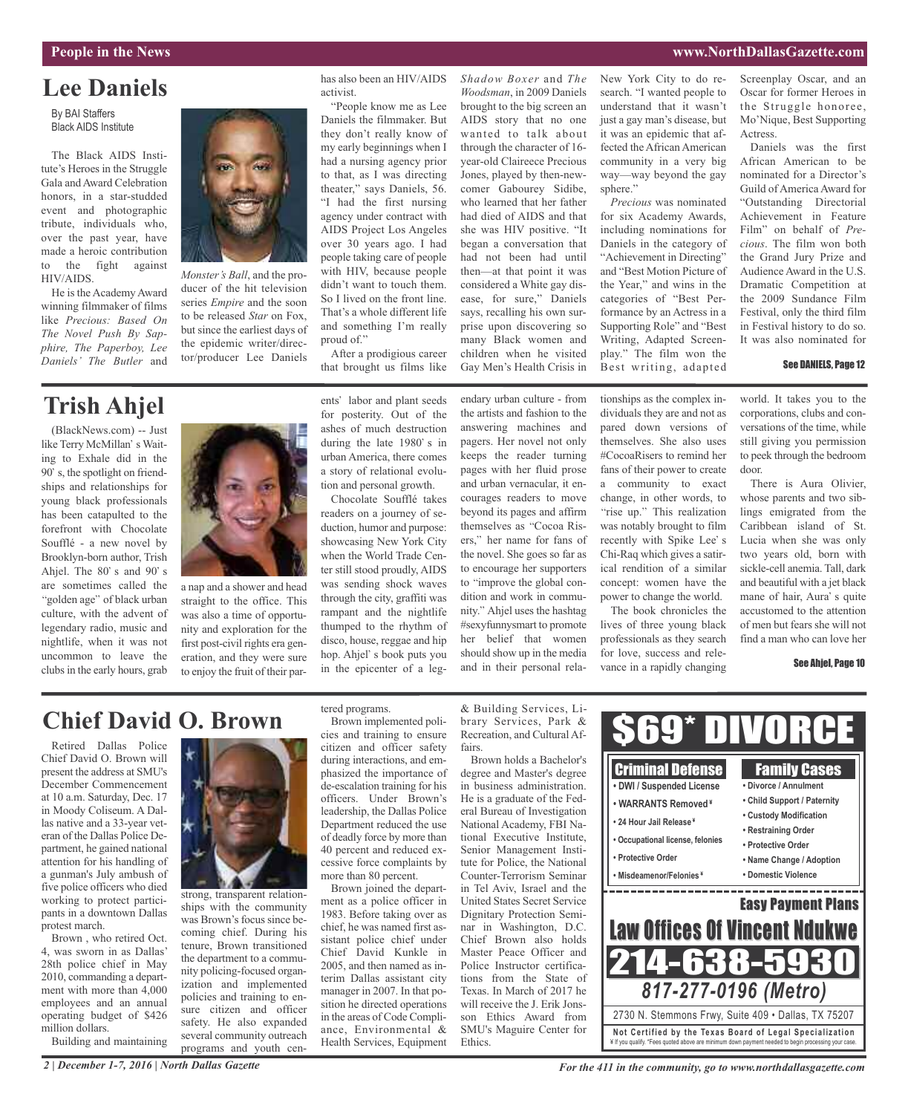### **People in the News www.NorthDallasGazette.com**

# **Lee Daniels**

By BAI Staffers Black AIDS Institute

The Black AIDS Institute's Heroes in the Struggle Gala and Award Celebration honors, in a star-studded event and photographic tribute, individuals who, over the past year, have made a heroic contribution to the fight against HIV/AIDS.

He is the Academy Award winning filmmaker of films like *Precious: Based On The Novel Push By Sapphire, The Paperboy, Lee Daniels' The Butler* and



*Monster's Ball*, and the producer of the hit television series *Empire* and the soon to be released *Star* on Fox, but since the earliest days of the epidemic writer/director/producer Lee Daniels

# **Trish Ahjel**

(BlackNews.com) -- Just like Terry McMillan's Waiting to Exhale did in the 90's, the spotlight on friendships and relationships for young black professionals has been catapulted to the forefront with Chocolate Soufflé - a new novel by Brooklyn-born author, Trish Ahjel. The  $80^\circ$  s and  $90^\circ$  s are sometimes called the "golden age" of black urban culture, with the advent of legendary radio, music and nightlife, when it was not uncommon to leave the clubs in the early hours, grab



a nap and a shower and head straight to the office. This was also a time of opportunity and exploration for the first post-civil rights era generation, and they were sure to enjoy the fruit of their par-

ents' labor and plant seeds for posterity. Out of the ashes of much destruction during the late  $1980$ ' s in urban America, there comes a story of relational evolution and personal growth.

After a prodigious career that brought us films like

has also been an HIV/AIDS

"People know me as Lee Daniels the filmmaker. But they don't really know of my early beginnings when I had a nursing agency prior to that, as I was directing theater," says Daniels, 56. "I had the first nursing agency under contract with AIDS Project Los Angeles over 30 years ago. I had people taking care of people with HIV, because people didn't want to touch them. So I lived on the front line. That's a whole different life and something I'm really

activist.

proud of."

Chocolate Soufflé takes readers on a journey of seduction, humor and purpose: showcasing New York City when the World Trade Center still stood proudly, AIDS was sending shock waves through the city, graffiti was rampant and the nightlife thumped to the rhythm of disco, house, reggae and hip hop. Ahjel's book puts you in the epicenter of a legendary urban culture - from the artists and fashion to the answering machines and pagers. Her novel not only keeps the reader turning pages with her fluid prose and urban vernacular, it encourages readers to move beyond its pages and affirm themselves as "Cocoa Risers," her name for fans of the novel. She goes so far as to encourage her supporters to "improve the global condition and work in community." Ahjel uses the hashtag #sexyfunnysmart to promote her belief that women should show up in the media and in their personal rela-

*Shadow Boxer* and *The Woodsman*, in 2009 Daniels brought to the big screen an AIDS story that no one wanted to talk about through the character of 16 year-old Claireece Precious Jones, played by then-newcomer Gabourey Sidibe, who learned that her father had died of AIDS and that she was HIV positive. "It began a conversation that had not been had until then—at that point it was considered a White gay disease, for sure," Daniels says, recalling his own surprise upon discovering so many Black women and children when he visited Gay Men's Health Crisis in

New York City to do research. "I wanted people to understand that it wasn't just a gay man's disease, but it was an epidemic that affected the African American community in a very big way—way beyond the gay sphere."

*Precious* was nominated for six Academy Awards, including nominations for Daniels in the category of "Achievement in Directing" and "Best Motion Picture of the Year," and wins in the categories of "Best Performance by an Actress in a Supporting Role" and "Best Writing, Adapted Screenplay." The film won the Best writing, adapted

tionships as the complex individuals they are and not as pared down versions of themselves. She also uses #CocoaRisers to remind her fans of their power to create a community to exact change, in other words, to "rise up." This realization was notably brought to film recently with Spike Lee's Chi-Raq which gives a satirical rendition of a similar concept: women have the power to change the world. The book chronicles the lives of three young black professionals as they search for love, success and relevance in a rapidly changing Screenplay Oscar, and an Oscar for former Heroes in the Struggle honoree, Mo'Nique, Best Supporting Actress.

Daniels was the first African American to be nominated for a Director's Guild of America Award for "Outstanding Directorial Achievement in Feature Film" on behalf of *Precious*. The film won both the Grand Jury Prize and Audience Award in the U.S. Dramatic Competition at the 2009 Sundance Film Festival, only the third film in Festival history to do so. It was also nominated for

### See DANIELS, Page 12

world. It takes you to the corporations, clubs and conversations of the time, while still giving you permission to peek through the bedroom door. There is Aura Olivier,

whose parents and two siblings emigrated from the Caribbean island of St. Lucia when she was only two years old, born with sickle-cell anemia. Tall, dark and beautiful with a jet black mane of hair, Aura's quite accustomed to the attention of men but fears she will not find a man who can love her

### See Ahjel, Page 10

### **Chief David O. Brown**

Retired Dallas Police Chief David O. Brown will present the address at SMU's December Commencement at 10 a.m. Saturday, Dec. 17 in Moody Coliseum. A Dallas native and a 33-year veteran of the Dallas Police Department, he gained national attention for his handling of a gunman's July ambush of five police officers who died working to protect participants in a downtown Dallas protest march.

Brown , who retired Oct. 4, was sworn in as Dallas' 28th police chief in May 2010, commanding a department with more than 4,000 employees and an annual operating budget of \$426 million dollars.

Building and maintaining



strong, transparent relationships with the community was Brown's focus since becoming chief. During his tenure, Brown transitioned the department to a community policing-focused organization and implemented policies and training to ensure citizen and officer safety. He also expanded several community outreach programs and youth centered programs.

Brown implemented policies and training to ensure citizen and officer safety during interactions, and emphasized the importance of de-escalation training for his officers. Under Brown's leadership, the Dallas Police Department reduced the use of deadly force by more than 40 percent and reduced excessive force complaints by more than 80 percent.

Brown joined the department as a police officer in 1983. Before taking over as chief, he was named first assistant police chief under Chief David Kunkle in 2005, and then named as interim Dallas assistant city manager in 2007. In that position he directed operations in the areas of Code Compliance, Environmental & Health Services, Equipment & Building Services, Library Services, Park & Recreation, and Cultural Affairs.

Brown holds a Bachelor's degree and Master's degree in business administration. He is a graduate of the Federal Bureau of Investigation National Academy, FBI National Executive Institute Senior Management Institute for Police, the National Counter-Terrorism Seminar in Tel Aviv, Israel and the United States Secret Service Dignitary Protection Seminar in Washington, D.C. Chief Brown also holds Master Peace Officer and Police Instructor certifications from the State of Texas. In March of 2017 he will receive the J. Erik Jonsson Ethics Award from SMU's Maguire Center for Ethics.



*2 | December 1-7, 2016 | North Dallas Gazette*

*For the 411 in the community, go to www.northdallasgazette.com*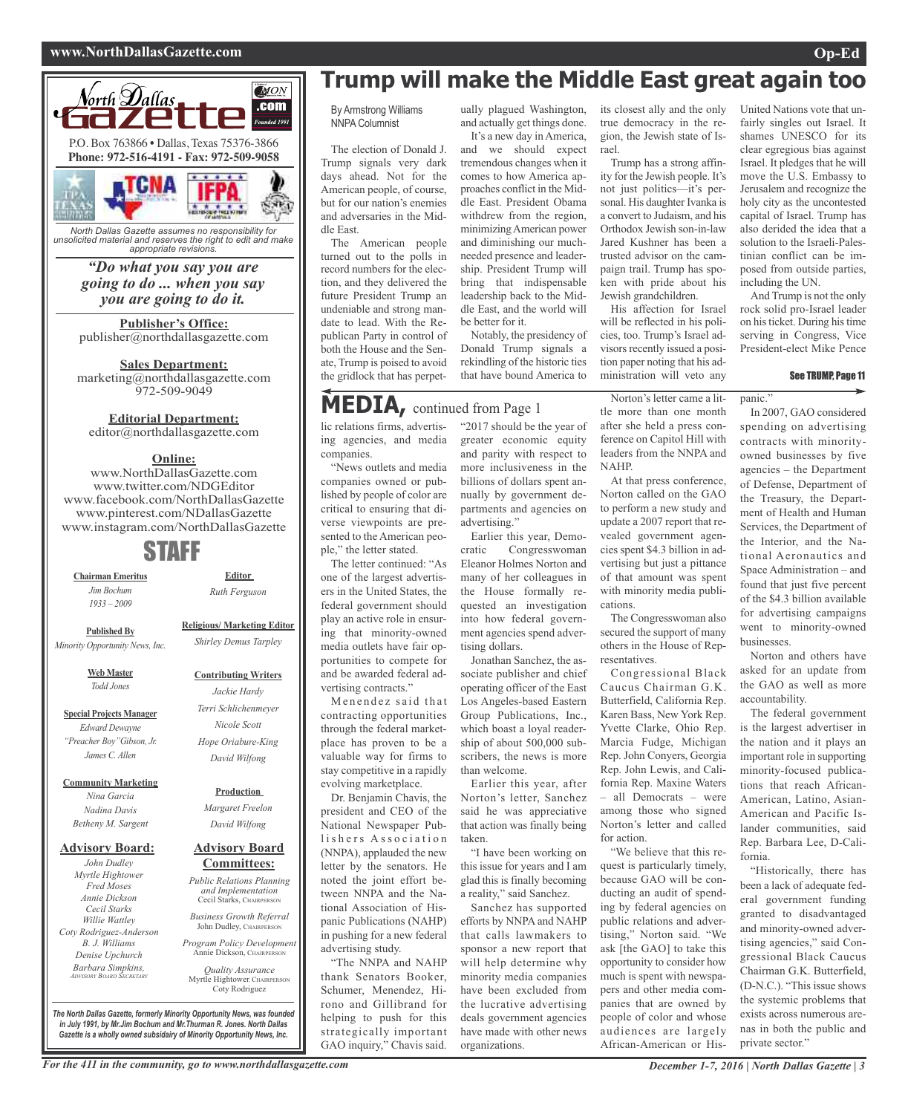### **www.NorthDallasGazette.com Op-Ed**





*North Dallas Gazette assumes no responsibility for unsolicited material and reserves the right to edit and make appropriate revisions.*

### *"Do what you say you are going to do ... when you say you are going to do it.*

**Publisher's Office:** publisher@northdallasgazette.com

**Sales Department:** marketing@northdallasgazette.com 972-509-9049

### **Editorial Department:**

editor@northdallasgazette.com

### **Online:**

www.NorthDallasGazette.com www.twitter.com/NDGEditor www.facebook.com/NorthDallasGazette www.pinterest.com/NDallasGazette www.instagram.com/NorthDallasGazette

## STAFF

**Chairman Emeritus** *Jim Bochum 1933 – 2009*

*Ruth Ferguson*

**Contributing Writers** *Jackie Hardy Terri Schlichenmeyer Nicole Scott*

**Editor**

**Religious/ Marketing Editor** *Shirley Demus Tarpley* **Published By** *Minority Opportunity News, Inc.*

> **Web Master** *Todd Jones*

**Special Projects Manager** *Edward Dewayne "Preacher Boy"Gibson, Jr. James C. Allen*

**Community Marketing**

*Nina Garcia Nadina Davis Betheny M. Sargent*

### **Advisory Board:**

*John Dudley Myrtle Hightower Fred Moses Annie Dickson Cecil Starks Willie Wattley Coty Rodriguez-Anderson B. J. Williams Denise Upchurch Barbara Simpkins, ADVISORY BOARD SECRETARY*

*Hope Oriabure-King David Wilfong*

> **Production** *Margaret Freelon*

## *David Wilfong*

### **Advisory Board Committees:**

*Public Relations Planning and Implementation* Cecil Starks, CHAIRPERSON

*Business Growth Referral* John Dudley, CHAIRPERSON

*Program Policy Development* Annie Dickson, CHAIRPERS

*Quality Assurance* Myrtle Hightower, CHAIRPERSON Coty Rodriguez

*The North Dallas Gazette, formerly Minority Opportunity News, was founded in July 1991, by Mr.Jim Bochum and Mr.Thurman R. Jones. North Dallas Gazette is a wholly owned subsidairy of Minority Opportunity News, Inc.*

# **Trump will make the Middle East great again too**

rael.

By Armstrong Williams NNPA Columnist

The election of Donald J. Trump signals very dark days ahead. Not for the American people, of course, but for our nation's enemies and adversaries in the Middle East.

The American people turned out to the polls in record numbers for the election, and they delivered the future President Trump an undeniable and strong mandate to lead. With the Republican Party in control of both the House and the Senate, Trump is poised to avoid the gridlock that has perpet-

# **MEDIA,** continued from Page <sup>1</sup>

lic relations firms, advertising agencies, and media companies.

"News outlets and media companies owned or published by people of color are critical to ensuring that diverse viewpoints are presented to the American people," the letter stated.

The letter continued: "As one of the largest advertisers in the United States, the federal government should play an active role in ensuring that minority-owned media outlets have fair opportunities to compete for and be awarded federal advertising contracts."

Menendez said that contracting opportunities through the federal marketplace has proven to be a valuable way for firms to stay competitive in a rapidly evolving marketplace.

Dr. Benjamin Chavis, the president and CEO of the National Newspaper Publishers Association (NNPA), applauded the new letter by the senators. He noted the joint effort between NNPA and the National Association of Hispanic Publications (NAHP) in pushing for a new federal advertising study.

"The NNPA and NAHP thank Senators Booker, Schumer, Menendez, Hirono and Gillibrand for helping to push for this strategically important GAO inquiry," Chavis said.

For the 411 in the community, go to www.northdallasgazette.com December 1-7, 2016 | North Dallas Gazette | 3

### ually plagued Washington, its closest ally and the only

and actually get things done.

It's a new day in America, and we should expect tremendous changes when it comes to how America approaches conflict in the Middle East. President Obama withdrew from the region, minimizingAmerican power and diminishing our muchneeded presence and leadership. President Trump will bring that indispensable leadership back to the Middle East, and the world will be better for it.

Notably, the presidency of Donald Trump signals a rekindling of the historic ties that have bound America to

nually by government departments and agencies on

Earlier this year, Democratic Congresswoman Eleanor Holmes Norton and many of her colleagues in the House formally requested an investigation into how federal government agencies spend adver-

Jonathan Sanchez, the associate publisher and chief operating officer of the East Los Angeles-based Eastern Group Publications, Inc., which boast a loyal readership of about 500,000 subscribers, the news is more

Earlier this year, after Norton's letter, Sanchez said he was appreciative that action was finally being

"I have been working on this issue for years and I am glad this is finally becoming a reality," said Sanchez. Sanchez has supported efforts by NNPA and NAHP that calls lawmakers to sponsor a new report that will help determine why minority media companies have been excluded from the lucrative advertising deals government agencies have made with other news

advertising."

tising dollars.

than welcome.

organizations.

taken.

"2017 should be the year of greater economic equity and parity with respect to more inclusiveness in the billions of dollars spent an-Norton's letter came a little more than one month after she held a press conference on Capitol Hill with leaders from the NNPA and NAHP.

true democracy in the region, the Jewish state of Is-

Trump has a strong affinity for the Jewish people. It's not just politics—it's personal. His daughter Ivanka is a convert to Judaism, and his Orthodox Jewish son-in-law Jared Kushner has been a trusted advisor on the campaign trail. Trump has spoken with pride about his Jewish grandchildren.

His affection for Israel will be reflected in his policies, too. Trump's Israel advisors recently issued a position paper noting that his administration will veto any

At that press conference, Norton called on the GAO to perform a new study and update a 2007 report that revealed government agencies spent \$4.3 billion in advertising but just a pittance of that amount was spent with minority media publications.

The Congresswoman also secured the support of many others in the House of Representatives.

Congressional Black Caucus Chairman G.K. Butterfield, California Rep. Karen Bass, New York Rep. Yvette Clarke, Ohio Rep. Marcia Fudge, Michigan Rep. John Conyers, Georgia Rep. John Lewis, and California Rep. Maxine Waters – all Democrats – were among those who signed Norton's letter and called for action.

"We believe that this request is particularly timely, because GAO will be conducting an audit of spending by federal agencies on public relations and advertising," Norton said. "We ask [the GAO] to take this opportunity to consider how much is spent with newspapers and other media companies that are owned by people of color and whose audiences are largely African-American or His-

United Nations vote that unfairly singles out Israel. It shames UNESCO for its clear egregious bias against Israel. It pledges that he will move the U.S. Embassy to Jerusalem and recognize the holy city as the uncontested capital of Israel. Trump has also derided the idea that a solution to the Israeli-Palestinian conflict can be imposed from outside parties, including the UN.

And Trump is not the only rock solid pro-Israel leader on histicket. During histime serving in Congress, Vice President-elect Mike Pence

#### See TRUMP, Page 11

panic."

In 2007, GAO considered spending on advertising contracts with minorityowned businesses by five agencies – the Department of Defense, Department of the Treasury, the Department of Health and Human Services, the Department of the Interior, and the National Aeronautics and Space Administration – and found that just five percent of the \$4.3 billion available for advertising campaigns went to minority-owned businesses.

Norton and others have asked for an update from the GAO as well as more accountability.

The federal government is the largest advertiser in the nation and it plays an important role in supporting minority-focused publications that reach African-American, Latino, Asian-American and Pacific Islander communities, said Rep. Barbara Lee, D-California.

"Historically, there has been a lack of adequate federal government funding granted to disadvantaged and minority-owned advertising agencies," said Congressional Black Caucus Chairman G.K. Butterfield, (D-N.C.). "This issue shows the systemic problems that exists across numerous arenas in both the public and private sector."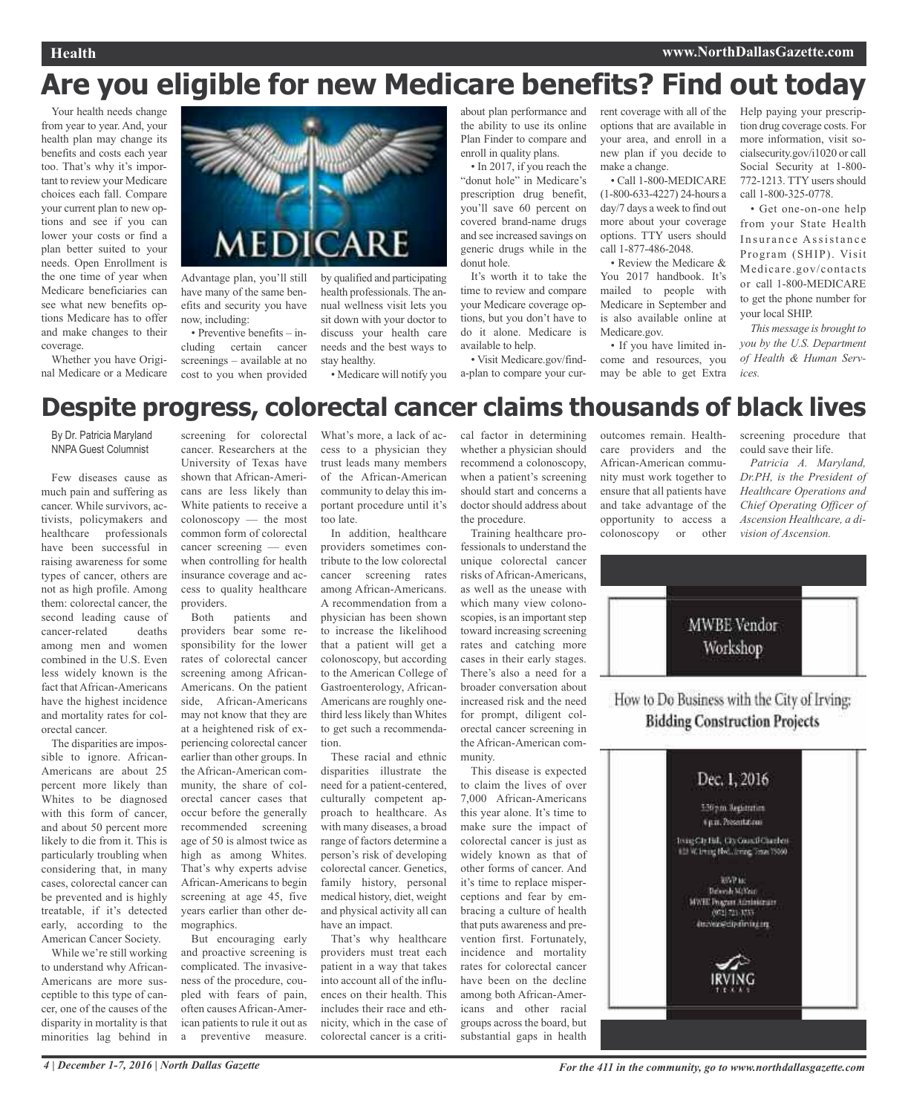# **Are you eligible for new Medicare benefits? Find out today**

Your health needs change from year to year. And, your health plan may change its benefits and costs each year too. That's why it's important to review your Medicare choices each fall. Compare your current plan to new options and see if you can lower your costs or find a plan better suited to your needs. Open Enrollment is the one time of year when Medicare beneficiaries can see what new benefits options Medicare has to offer and make changes to their coverage.

Whether you have Original Medicare or a Medicare



have many of the same benefits and security you have now, including:

• Preventive benefits – including certain cancer screenings – available at no cost to you when provided

by qualified and participating health professionals. The annual wellness visit lets you sit down with your doctor to discuss your health care needs and the best ways to stay healthy.

• Medicare will notify you

about plan performance and the ability to use its online Plan Finder to compare and enroll in quality plans. • In 2017, if you reach the

"donut hole" in Medicare's prescription drug benefit, you'll save 60 percent on covered brand-name drugs and see increased savings on generic drugs while in the donut hole.

It's worth it to take the time to review and compare your Medicare coverage options, but you don't have to do it alone. Medicare is available to help.

• Visit Medicare.gov/finda-plan to compare your current coverage with all of the options that are available in your area, and enroll in a new plan if you decide to make a change.

• Call 1-800-MEDICARE (1-800-633-4227) 24-hours a day/7 days a week to find out more about your coverage options. TTY users should call 1-877-486-2048.

• Review the Medicare & You 2017 handbook. It's mailed to people with Medicare in September and is also available online at Medicare.gov.

• If you have limited income and resources, you may be able to get Extra

Help paying your prescription drug coverage costs. For more information, visit socialsecurity.gov/i1020 or call Social Security at 1-800- 772-1213. TTY users should call 1-800-325-0778.

• Get one-on-one help from your State Health Insurance Assistance Program (SHIP). Visit Medicare.gov/contacts or call 1-800-MEDICARE to get the phone number for your local SHIP.

*This message is brought to you by the U.S. Department of Health & Human Services.*

# **Despite progress, colorectal cancer claims thousands of black lives**

By Dr. Patricia Maryland NNPA Guest Columnist

Few diseases cause as much pain and suffering as cancer. While survivors, activists, policymakers and healthcare professionals have been successful in raising awareness for some types of cancer, others are not as high profile. Among them: colorectal cancer, the second leading cause of cancer-related deaths among men and women combined in the U.S. Even less widely known is the fact that African-Americans have the highest incidence and mortality rates for colorectal cancer.

The disparities are impossible to ignore. African-Americans are about 25 percent more likely than Whites to be diagnosed with this form of cancer, and about 50 percent more likely to die from it. This is particularly troubling when considering that, in many cases, colorectal cancer can be prevented and is highly treatable, if it's detected early, according to the American Cancer Society.

While we're still working to understand why African-Americans are more susceptible to this type of cancer, one of the causes of the disparity in mortality is that minorities lag behind in

screening for colorectal cancer. Researchers at the University of Texas have shown that African-Americans are less likely than White patients to receive a colonoscopy — the most common form of colorectal cancer screening — even when controlling for health insurance coverage and access to quality healthcare providers.

Both patients and providers bear some responsibility for the lower rates of colorectal cancer screening among African-Americans. On the patient side, African-Americans may not know that they are at a heightened risk of experiencing colorectal cancer earlier than other groups. In the African-American community, the share of colorectal cancer cases that occur before the generally recommended screening age of 50 is almost twice as high as among Whites. That's why experts advise African-Americans to begin screening at age 45, five years earlier than other demographics.

But encouraging early and proactive screening is complicated. The invasiveness of the procedure, coupled with fears of pain, often causes African-American patients to rule it out as a preventive measure.

What's more, a lack of access to a physician they trust leads many members of the African-American community to delay this important procedure until it's too late.

In addition, healthcare providers sometimes contribute to the low colorectal cancer screening rates among African-Americans. A recommendation from a physician has been shown to increase the likelihood that a patient will get a colonoscopy, but according to the American College of Gastroenterology, African-Americans are roughly onethird less likely than Whites to get such a recommendation.

These racial and ethnic disparities illustrate the need for a patient-centered, culturally competent approach to healthcare. As with many diseases, a broad range of factors determine a person's risk of developing colorectal cancer. Genetics, family history, personal medical history, diet, weight and physical activity all can have an impact.

That's why healthcare providers must treat each patient in a way that takes into account all of the influences on their health. This includes their race and ethnicity, which in the case of colorectal cancer is a critical factor in determining whether a physician should recommend a colonoscopy, when a patient's screening should start and concerns a doctor should address about the procedure.

Training healthcare professionals to understand the unique colorectal cancer risks of African-Americans, as well as the unease with which many view colonoscopies, is an important step toward increasing screening rates and catching more cases in their early stages. There's also a need for a broader conversation about increased risk and the need for prompt, diligent colorectal cancer screening in the African-American community.

This disease is expected to claim the lives of over 7,000 African-Americans this year alone. It's time to make sure the impact of colorectal cancer is just as widely known as that of other forms of cancer. And it's time to replace misperceptions and fear by embracing a culture of health that puts awareness and prevention first. Fortunately, incidence and mortality rates for colorectal cancer have been on the decline among both African-Americans and other racial groups across the board, but substantial gaps in health

outcomes remain. Healthcare providers and the African-American community must work together to ensure that all patients have and take advantage of the opportunity to access a colonoscopy or other

screening procedure that could save their life.

*Patricia A. Maryland, Dr.PH, is the President of Healthcare Operations and Chief Operating Officer of Ascension Healthcare, a division of Ascension.*



How to Do Business with the City of Irving: **Bidding Construction Projects** 

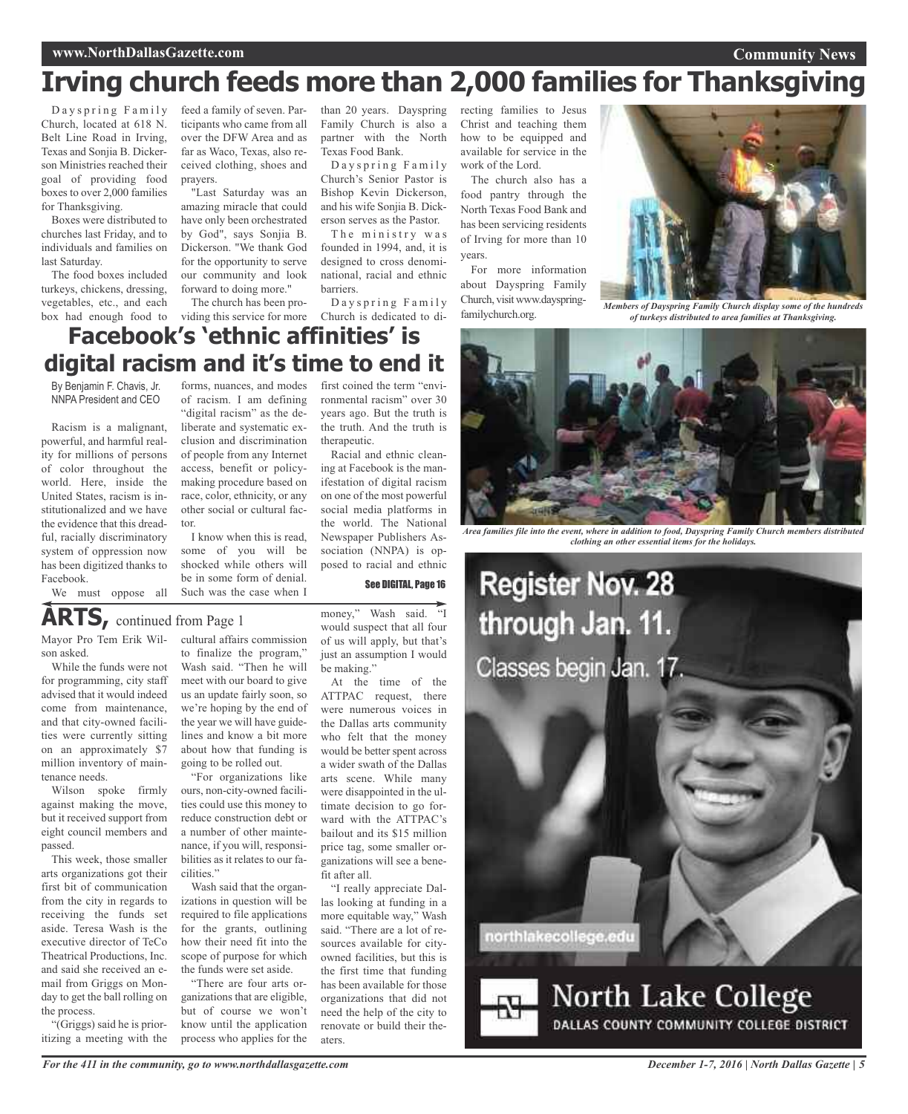### **www.NorthDallasGazette.com**

**Community News**

# **Irving church feeds more than 2,000 families for Thanksgiving**

Dayspring Family Church, located at 618 N. Belt Line Road in Irving, Texas and Sonjia B. Dickerson Ministries reached their goal of providing food boxes to over 2,000 families for Thanksgiving.

Boxes were distributed to churches last Friday, and to individuals and families on last Saturday.

The food boxes included turkeys, chickens, dressing, vegetables, etc., and each

feed a family of seven. Participants who came from all over the DFW Area and as far as Waco, Texas, also received clothing, shoes and prayers.

"Last Saturday was an amazing miracle that could have only been orchestrated by God", says Sonjia B. Dickerson. "We thank God for the opportunity to serve our community and look forward to doing more."

The church has been pro-

than 20 years. Dayspring recting families to Jesus Family Church is also a partner with the North Texas Food Bank.

Dayspring Family Church's Senior Pastor is Bishop Kevin Dickerson, and his wife Sonjia B. Dickerson serves as the Pastor.

The ministry was founded in 1994, and, it is designed to cross denominational, racial and ethnic barriers.

Dayspring Family

Christ and teaching them how to be equipped and available for service in the work of the Lord.

The church also has a food pantry through the North Texas Food Bank and has been servicing residents of Irving for more than 10 years.

For more information about Dayspring Family Church, visit www.dayspringfamilychurch.org.



*Members of Dayspring Family Church display some of the hundreds of turkeys distributed to area families at Thanksgiving.*

### box had enough food to viding this service for more Church is dedicated to di-**Facebook's 'ethnic affinities' is digital racism and it's time to end it**

By Benjamin F. Chavis, Jr. NNPA President and CEO

Racism is a malignant, powerful, and harmful reality for millions of persons of color throughout the world. Here, inside the United States, racism is institutionalized and we have the evidence that this dreadful, racially discriminatory system of oppression now has been digitized thanks to Facebook.

forms, nuances, and modes of racism. I am defining "digital racism" as the deliberate and systematic exclusion and discrimination of people from any Internet access, benefit or policymaking procedure based on race, color, ethnicity, or any other social or cultural factor.

I know when this is read, some of you will be shocked while others will be in some form of denial. Such was the case when I

first coined the term "environmental racism" over 30 years ago. But the truth is the truth. And the truth is therapeutic.

Racial and ethnic cleaning at Facebook is the manifestation of digital racism on one of the most powerful social media platforms in the world. The National Newspaper Publishers Association (NNPA) is opposed to racial and ethnic

See DIGITAL, Page 16

### **ARTS,** continued from Page <sup>1</sup>

Mayor Pro Tem Erik Wilson asked.

We must oppose all

While the funds were not for programming, city staff advised that it would indeed come from maintenance, and that city-owned facilities were currently sitting on an approximately \$7 million inventory of maintenance needs.

Wilson spoke firmly against making the move, but it received support from eight council members and passed.

This week, those smaller arts organizations got their first bit of communication from the city in regards to receiving the funds set aside. Teresa Wash is the executive director of TeCo Theatrical Productions, Inc. and said she received an email from Griggs on Monday to get the ball rolling on the process.

"(Griggs) said he is prioritizing a meeting with the cultural affairs commission to finalize the program," Wash said. "Then he will meet with our board to give us an update fairly soon, so we're hoping by the end of the year we will have guidelines and know a bit more about how that funding is going to be rolled out.

"For organizations like ours, non-city-owned facilities could use this money to reduce construction debt or a number of other maintenance, if you will, responsibilities as it relates to our facilities."

Wash said that the organizations in question will be required to file applications for the grants, outlining how their need fit into the scope of purpose for which the funds were set aside.

"There are four arts organizations that are eligible, but of course we won't know until the application process who applies for the

money," Wash said. "I would suspect that all four of us will apply, but that's just an assumption I would be making."

At the time of the ATTPAC request, there were numerous voices in the Dallas arts community who felt that the money would be better spent across a wider swath of the Dallas arts scene. While many were disappointed in the ultimate decision to go forward with the ATTPAC's bailout and its \$15 million price tag, some smaller organizations will see a benefit after all.

"I really appreciate Dallas looking at funding in a more equitable way," Wash said. "There are a lot of resources available for cityowned facilities, but this is the first time that funding has been available for those organizations that did not need the help of the city to renovate or build their theaters.



*Area families file into the event, where in addition to food, Dayspring Family Church members distributed clothing an other essential items for the holidays.*



*For the 411 in the community, go to www.northdallasgazette.com*

*December 1-7, 2016 | North Dallas Gazette | 5*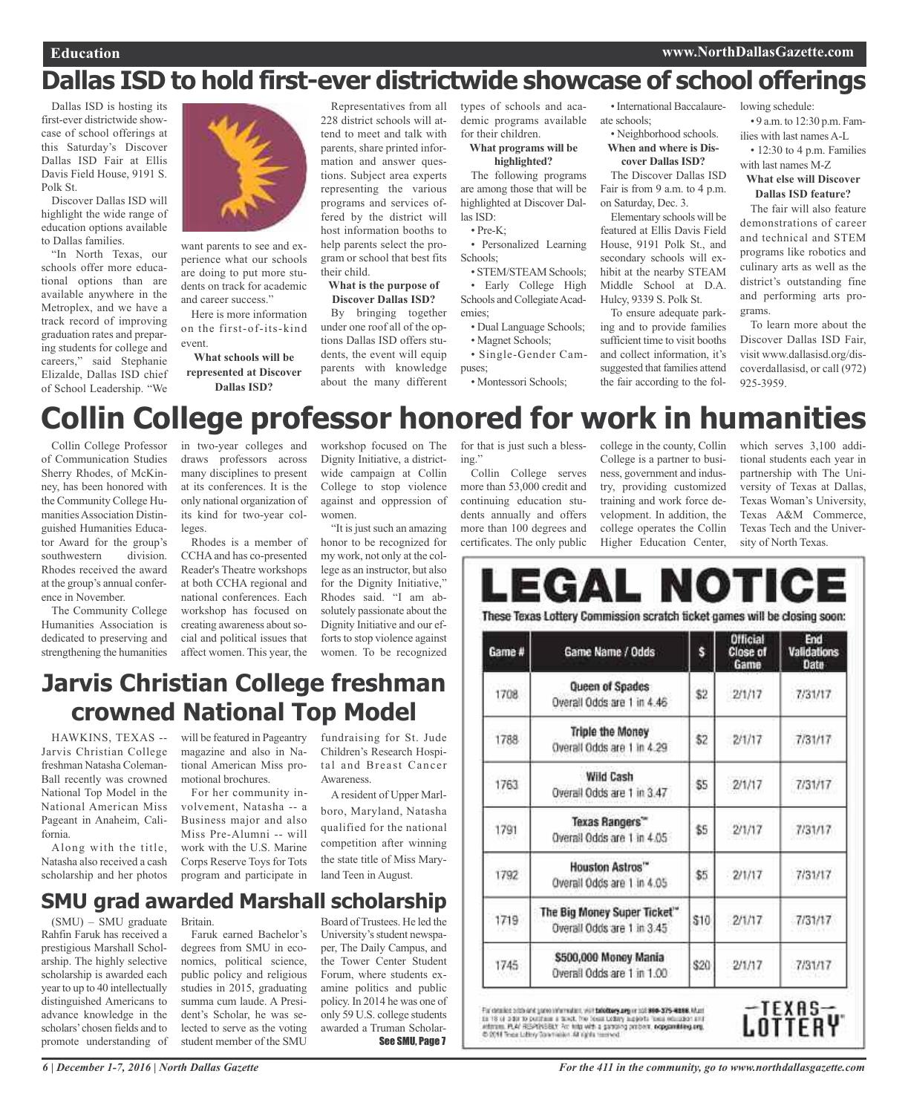### **Education www.NorthDallasGazette.com**

Dallas ISD is hosting its first-ever districtwide showcase of school offerings at this Saturday's Discover Dallas ISD Fair at Ellis Davis Field House, 9191 S. Polk St.

Discover Dallas ISD will highlight the wide range of education options available to Dallas families.

"In North Texas, our schools offer more educational options than are available anywhere in the Metroplex, and we have a track record of improving graduation rates and preparing students for college and careers," said Stephanie Elizalde, Dallas ISD chief of School Leadership. "We



want parents to see and experience what our schools are doing to put more students on track for academic and career success."

Here is more information on the first-of-its-kind event.

**What schools will be represented at Discover Dallas ISD?**

Representatives from all 228 district schools will attend to meet and talk with parents, share printed information and answer questions. Subject area experts representing the various programs and services offered by the district will host information booths to help parents select the program or school that best fits their child.

### **What is the purpose of Discover Dallas ISD?**

By bringing together under one roof all of the options Dallas ISD offers students, the event will equip parents with knowledge about the many different

types of schools and academic programs available for their children.

### **What programs will be highlighted?**

The following programs are among those that will be highlighted at Discover Dallas ISD:

• Pre-K;

• Personalized Learning Schools;

• STEM/STEAM Schools; • Early College High Schools and Collegiate Academies;

• Dual Language Schools; • Magnet Schools;

• Single-Gender Campuses;

• Montessori Schools;

•International Baccalaureate schools;

#### • Neighborhood schools. **When and where is Discover Dallas ISD?**

The Discover Dallas ISD Fair is from 9 a.m. to 4 p.m. on Saturday, Dec. 3.

Elementary schools will be featured at Ellis Davis Field House, 9191 Polk St., and secondary schools will exhibit at the nearby STEAM Middle School at D.A. Hulcy, 9339 S. Polk St.

To ensure adequate parking and to provide families sufficient time to visit booths and collect information, it's suggested that families attend the fair according to the fol-

lowing schedule:

• 9 a.m. to 12:30 p.m. Families with last names A-L

• 12:30 to 4 p.m. Families with last names M-Z

### **What else will Discover Dallas ISD feature?**

The fair will also feature demonstrations of career and technical and STEM programs like robotics and culinary arts as well as the district's outstanding fine and performing arts programs.

To learn more about the Discover Dallas ISD Fair, visit www.dallasisd.org/discoverdallasisd, or call (972) 925-3959.

# **Collin College professor honored for work in humanities**

Collin College Professor of Communication Studies Sherry Rhodes, of McKinney, has been honored with the Community College Humanities Association Distinguished Humanities Educator Award for the group's southwestern division. Rhodes received the award at the group's annual conference in November.

The Community College Humanities Association is dedicated to preserving and strengthening the humanities in two-year colleges and draws professors across many disciplines to present at its conferences. It is the only national organization of its kind for two-year colleges.

Rhodes is a member of CCHAand has co-presented Reader's Theatre workshops at both CCHA regional and national conferences. Each workshop has focused on creating awareness about social and political issues that affect women. This year, the

workshop focused on The Dignity Initiative, a districtwide campaign at Collin College to stop violence against and oppression of women.

"It is just such an amazing honor to be recognized for my work, not only at the college as an instructor, but also for the Dignity Initiative," Rhodes said. "I am absolutely passionate about the Dignity Initiative and our efforts to stop violence against women. To be recognized

for that is just such a blessing."

Collin College serves more than 53,000 credit and continuing education students annually and offers more than 100 degrees and certificates. The only public

college in the county, Collin College is a partner to business, government and industry, providing customized training and work force development. In addition, the college operates the Collin Higher Education Center,

which serves 3,100 additional students each year in partnership with The University of Texas at Dallas, Texas Woman's University, Texas A&M Commerce, Texas Tech and the University of North Texas.

| Game # | Game Name / Odds                                          | Ś.   | <b>Official</b><br><b>Close of</b><br>Game | End<br>Validations<br>Date |
|--------|-----------------------------------------------------------|------|--------------------------------------------|----------------------------|
| 1708   | Queen of Spades<br>Overall Odds are 1 in 4.46             | \$2  | 2/1/17                                     | 7/31/17                    |
| 1788   | <b>Triple the Money</b><br>Overall Odds are 1 in 4.29     | \$2  | 2/1/17                                     | 7/31/17                    |
| 1763   | <b>Wild Cash</b><br>Overail Odds are 1 in 3.47            | \$5  | 2/1/17                                     | 7/31/17                    |
| 1791   | Texas Rangers"<br>Overall Odds are 1 in 4.05              | \$5  | 2/1/17                                     | 7/31/17                    |
| 1792   | Houston Astros"<br>Overail Odds are 1 in 4.05             | \$5  | 2/1/17                                     | 7/31/17                    |
| 1719   | The Big Money Super Ticket"<br>Overall Odds are 1 in 3.45 | \$10 | 2/1/17                                     | 7/31/17                    |
| 1745   | \$500,000 Money Mania<br>Overall Odds are 1 in 1.00       | \$20 | 2/1/17                                     | 7/31/17                    |

attment PLAY RESPONSIBLY For hits with a gardeng perbors, nepparatiling any, the SOM Times Littley Downloader All rights termined



# **Jarvis Christian College freshman crowned National Top Model**

HAWKINS, TEXAS -- Jarvis Christian College freshman Natasha Coleman-Ball recently was crowned National Top Model in the National American Miss Pageant in Anaheim, California.

Along with the title, Natasha also received a cash scholarship and her photos

will be featured in Pageantry magazine and also in National American Miss promotional brochures.

For her community involvement, Natasha -- a Business major and also Miss Pre-Alumni -- will work with the U.S. Marine Corps Reserve Toys for Tots program and participate in fundraising for St. Jude Children's Research Hospital and Breast Cancer Awareness.

A resident of Upper Marlboro, Maryland, Natasha qualified for the national competition after winning the state title of Miss Maryland Teen in August.

## **SMU grad awarded Marshall scholarship**

(SMU) – SMU graduate Rahfin Faruk has received a prestigious Marshall Scholarship. The highly selective scholarship is awarded each year to up to 40 intellectually distinguished Americans to advance knowledge in the scholars'chosen fields and to promote understanding of

Britain. Faruk earned Bachelor's degrees from SMU in economics, political science, public policy and religious studies in 2015, graduating summa cum laude. A President's Scholar, he was selected to serve as the voting student member of the SMU

Board of Trustees. He led the University's student newspaper, The Daily Campus, and the Tower Center Student Forum, where students examine politics and public policy. In 2014 he was one of only 59 U.S. college students awarded a Truman Scholar-See SMU, Page 7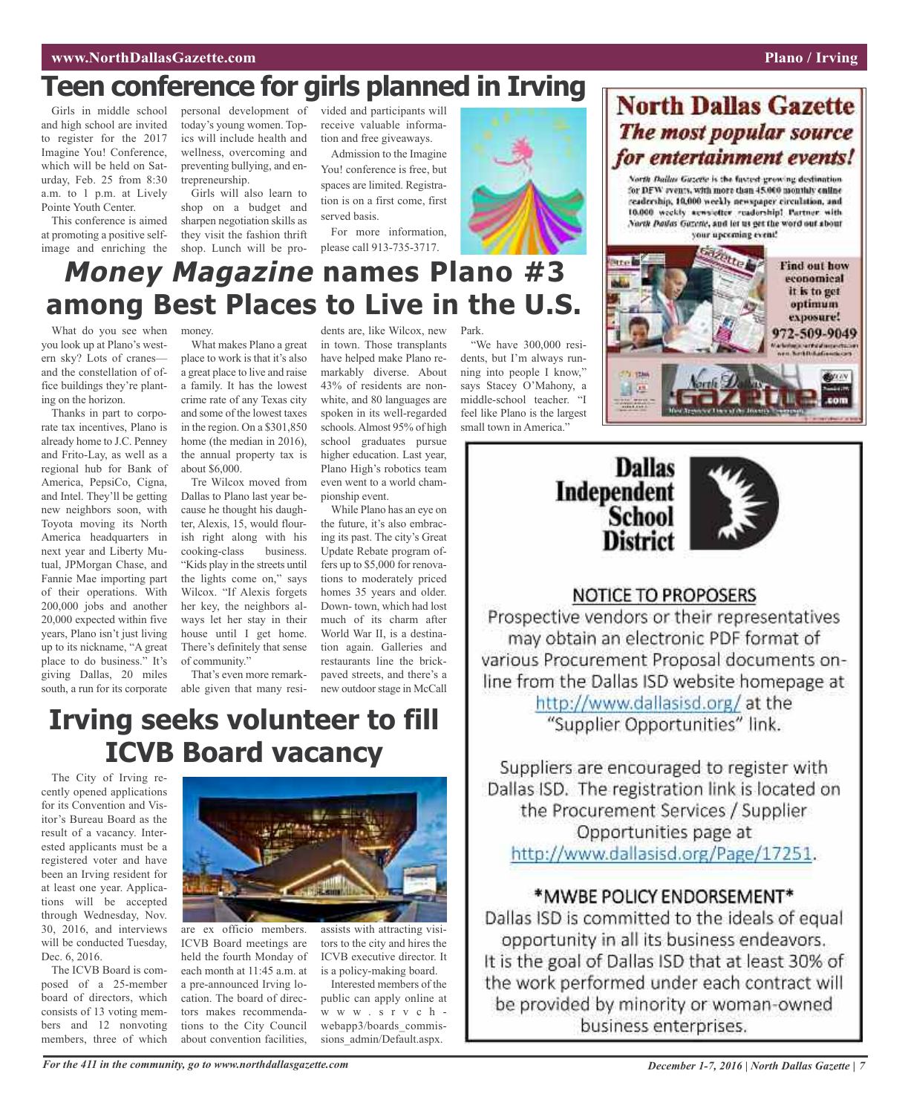# **Teen conference for girls planned in Irving**

Girls in middle school and high school are invited to register for the 2017 Imagine You! Conference, which will be held on Saturday, Feb. 25 from 8:30 a.m. to 1 p.m. at Lively Pointe Youth Center.

This conference is aimed at promoting a positive selfimage and enriching the

personal development of vided and participants will today's young women. Topics will include health and wellness, overcoming and preventing bullying, and entrepreneurship.

Girls will also learn to shop on a budget and sharpen negotiation skills as they visit the fashion thrift shop. Lunch will be proreceive valuable information and free giveaways.

Admission to the Imagine You! conference is free, but spaces are limited. Registration is on a first come, first served basis.

For more information, please call 913-735-3717.

dents are, like Wilcox, new in town. Those transplants have helped make Plano remarkably diverse. About 43% of residents are nonwhite, and 80 languages are spoken in its well-regarded schools.Almost 95% of high school graduates pursue higher education. Last year, Plano High's robotics team even went to a world cham-

pionship event.

While Plano has an eye on the future, it's also embracing its past. The city's Great Update Rebate program offers up to \$5,000 for renovations to moderately priced homes 35 years and older. Down- town, which had lost much of its charm after World War II, is a destination again. Galleries and restaurants line the brickpaved streets, and there's a new outdoorstage in McCall



# **Money Magazine names Plano #3 among Best Places to Live in the U.S.**

What do you see when you look up at Plano's western sky? Lots of cranes and the constellation of office buildings they're planting on the horizon.

Thanks in part to corporate tax incentives, Plano is already home to J.C. Penney and Frito-Lay, as well as a regional hub for Bank of America, PepsiCo, Cigna, and Intel. They'll be getting new neighbors soon, with Toyota moving its North America headquarters in next year and Liberty Mutual, JPMorgan Chase, and Fannie Mae importing part of their operations. With 200,000 jobs and another 20,000 expected within five years, Plano isn't just living up to its nickname, "A great place to do business." It's giving Dallas, 20 miles south, a run for its corporate money.

What makes Plano a great place to work is that it's also a great place to live and raise a family. It has the lowest crime rate of any Texas city and some of the lowest taxes in the region. On a \$301,850 home (the median in 2016), the annual property tax is about \$6,000.

Tre Wilcox moved from Dallas to Plano last year because he thought his daughter, Alexis, 15, would flourish right along with his cooking-class business. "Kids play in the streets until the lights come on," says Wilcox. "If Alexis forgets her key, the neighbors always let her stay in their house until I get home. There's definitely that sense of community."

That's even more remarkable given that many resi-

# **Irving seeks volunteer to fill ICVB Board vacancy**

The City of Irving recently opened applications for its Convention and Visitor's Bureau Board as the result of a vacancy. Interested applicants must be a registered voter and have been an Irving resident for at least one year. Applications will be accepted through Wednesday, Nov. 30, 2016, and interviews will be conducted Tuesday, Dec. 6, 2016.

The ICVB Board is composed of a 25-member board of directors, which consists of 13 voting members and 12 nonvoting members, three of which



are ex officio members. ICVB Board meetings are held the fourth Monday of each month at 11:45 a.m. at a pre-announced Irving location. The board of directors makes recommendations to the City Council about convention facilities,

assists with attracting visitors to the city and hires the ICVB executive director. It is a policy-making board.

Interested members of the public can apply online at w w w . s r v c h webapp3/boards\_commissions\_admin/Default.aspx.

Park.

"We have 300,000 residents, but I'm always running into people I know," says Stacey O'Mahony, a middle-school teacher. "I feel like Plano is the largest small town in America."



North Dallas Gazette is the fastest growing destination for DFW svents, with more than 45.000 monthly enline readership, 10,000 weekly newspaper circulation, and 10.000 weekly acwsietter readership! Partner with North Dailas Gazette, and let us get the word out about your upcoming event!





### **NOTICE TO PROPOSERS**

Prospective vendors or their representatives may obtain an electronic PDF format of various Procurement Proposal documents online from the Dallas ISD website homepage at http://www.dallasisd.org/at the "Supplier Opportunities" link.

Suppliers are encouraged to register with Dallas ISD. The registration link is located on the Procurement Services / Supplier Opportunities page at http://www.dallasisd.org/Page/17251.

### \*MWBE POLICY ENDORSEMENT\*

Dallas ISD is committed to the ideals of equal opportunity in all its business endeavors. It is the goal of Dallas ISD that at least 30% of the work performed under each contract will be provided by minority or woman-owned business enterprises.

For the 411 in the community, go to www.northdallasgazette.com December 1-7, 2016 | North Dallas Gazette | 7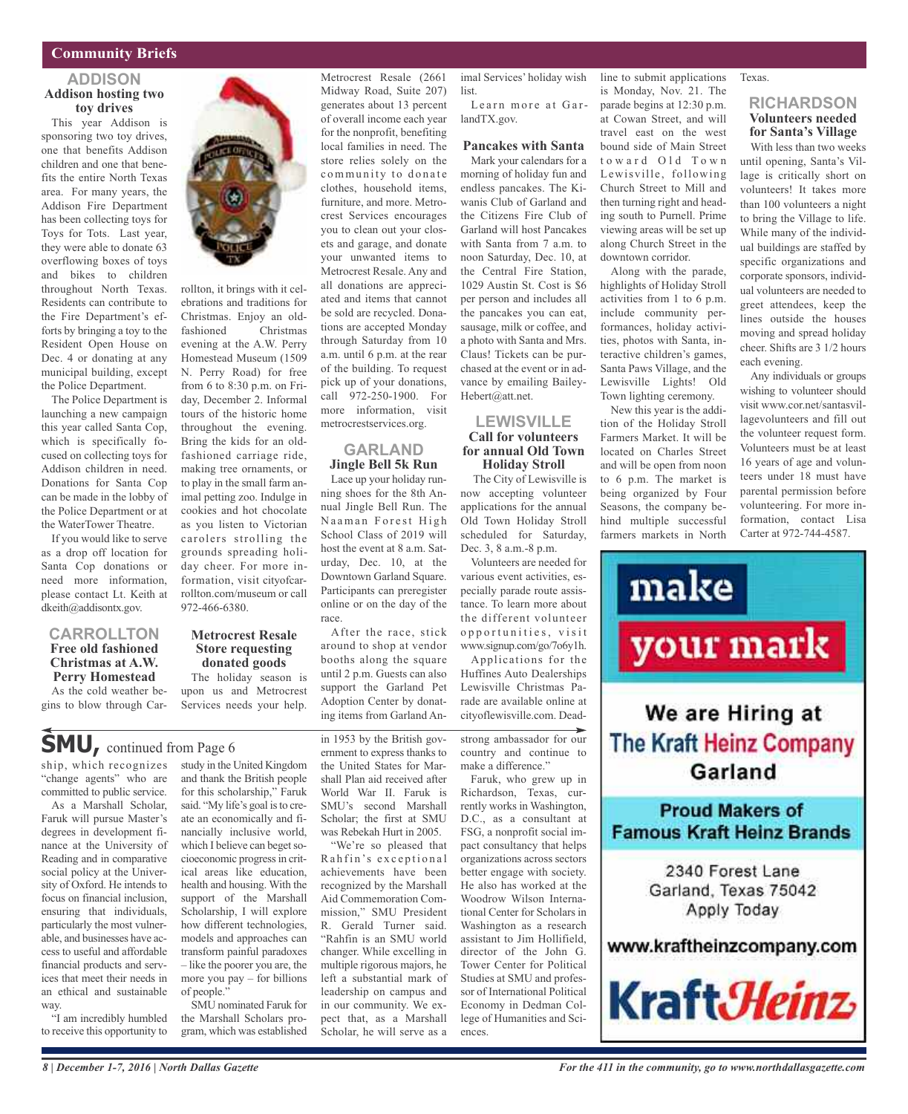### **Community Briefs**

### **ADDISON Addison hosting two toy drives**

This year Addison is sponsoring two toy drives, one that benefits Addison children and one that benefits the entire North Texas area. For many years, the Addison Fire Department has been collecting toys for Toys for Tots. Last year, they were able to donate 63 overflowing boxes of toys and bikes to children throughout North Texas. Residents can contribute to the Fire Department's efforts by bringing a toy to the Resident Open House on Dec. 4 or donating at any municipal building, except the Police Department.

The Police Department is launching a new campaign this year called Santa Cop, which is specifically focused on collecting toys for Addison children in need. Donations for Santa Cop can be made in the lobby of the Police Department or at the WaterTower Theatre.

If you would like to serve as a drop off location for Santa Cop donations or need more information, please contact Lt. Keith at dkeith@addisontx.gov.

### **CARROLLTON Free old fashioned Christmas at A.W. Perry Homestead**

As the cold weather begins to blow through Car-



rollton, it brings with it celebrations and traditions for Christmas. Enjoy an oldfashioned Christmas evening at the A.W. Perry Homestead Museum (1509 N. Perry Road) for free from 6 to 8:30 p.m. on Friday, December 2. Informal tours of the historic home throughout the evening. Bring the kids for an oldfashioned carriage ride, making tree ornaments, or to play in the small farm animal petting zoo. Indulge in cookies and hot chocolate as you listen to Victorian carolers strolling the grounds spreading holiday cheer. For more information, visit cityofcarrollton.com/museum or call 972-466-6380.

### **Metrocrest Resale Store requesting donated goods** The holiday season is

upon us and Metrocrest Services needs your help.

### **SMU,** continued from Page <sup>6</sup>

ship, which recognizes "change agents" who are committed to public service.

As a Marshall Scholar, Faruk will pursue Master's degrees in development finance at the University of Reading and in comparative social policy at the University of Oxford. He intends to focus on financial inclusion, ensuring that individuals, particularly the most vulnerable, and businesses have access to useful and affordable financial products and services that meet their needs in an ethical and sustainable way.

"I am incredibly humbled to receive this opportunity to study in the United Kingdom and thank the British people for this scholarship," Faruk said. "My life's goal is to create an economically and financially inclusive world, which I believe can beget socioeconomic progress in critical areas like education, health and housing. With the support of the Marshall Scholarship, I will explore how different technologies, models and approaches can transform painful paradoxes – like the poorer you are, the more you pay – for billions of people."

SMU nominated Faruk for the Marshall Scholars program, which was established

Midway Road, Suite 207) generates about 13 percent of overall income each year for the nonprofit, benefiting local families in need. The store relies solely on the community to donate clothes, household items, furniture, and more. Metrocrest Services encourages you to clean out your closets and garage, and donate your unwanted items to Metrocrest Resale. Any and all donations are appreciated and items that cannot be sold are recycled. Donations are accepted Monday through Saturday from 10 a.m. until 6 p.m. at the rear of the building. To request pick up of your donations, call 972-250-1900. For more information, visit metrocrestservices.org.

Metrocrest Resale (2661

### **GARLAND Jingle Bell 5k Run**

Lace up your holiday running shoes for the 8th Annual Jingle Bell Run. The Naaman Forest High School Class of 2019 will host the event at 8 a.m. Saturday, Dec. 10, at the Downtown Garland Square. Participants can preregister online or on the day of the race.

After the race, stick around to shop at vendor booths along the square until 2 p.m. Guests can also support the Garland Pet Adoption Center by donating items from Garland An-

World War II. Faruk is SMU's second Marshall Scholar; the first at SMU was Rebekah Hurt in 2005. "We're so pleased that Rahfin's exceptional achievements have been recognized by the Marshall Aid Commemoration Commission," SMU President R. Gerald Turner said. "Rahfin is an SMU world changer. While excelling in multiple rigorous majors, he left a substantial mark of leadership on campus and in our community. We expect that, as a Marshall Scholar, he will serve as a

in 1953 by the British government to express thanks to the United States for Marshall Plan aid received after make a difference."

Faruk, who grew up in Richardson, Texas, currently works in Washington, D.C., as a consultant at FSG, a nonprofit social impact consultancy that helps organizations across sectors better engage with society. He also has worked at the Woodrow Wilson International Center for Scholars in Washington as a research assistant to Jim Hollifield, director of the John G. Tower Center for Political Studies at SMU and professor of International Political Economy in Dedman College of Humanities and Sciences.

imal Services' holiday wish Learn more at Garline to submit applications is Monday, Nov. 21. The parade begins at 12:30 p.m.

landTX.gov.

list.

**Pancakes with Santa** Mark your calendars for a morning of holiday fun and endless pancakes. The Kiwanis Club of Garland and the Citizens Fire Club of Garland will host Pancakes with Santa from 7 a.m. to noon Saturday, Dec. 10, at the Central Fire Station, 1029 Austin St. Cost is \$6 per person and includes all the pancakes you can eat, sausage, milk or coffee, and a photo with Santa and Mrs. Claus! Tickets can be purchased at the event or in advance by emailing Bailey-Hebert@att.net.

### **LEWISVILLE Call for volunteers for annual Old Town Holiday Stroll**

The City of Lewisville is now accepting volunteer applications for the annual Old Town Holiday Stroll scheduled for Saturday, Dec. 3, 8 a.m.-8 p.m. to 6 p.m. The market is being organized by Four Seasons, the company behind multiple successful farmers markets in North

Volunteers are needed for various event activities, especially parade route assistance. To learn more about the different volunteer o p p o r t u n i t i e s, v i s i t www.signup.com/go/7o6y1h.

Applications for the Huffines Auto Dealerships Lewisville Christmas Parade are available online at cityoflewisville.com. Dead-

# your mark

make

strong ambassador for our country and continue to

> **Proud Makers of Famous Kraft Heinz Brands** 2340 Forest Lane Garland, Texas 75042 Apply Today

> > www.kraftheinzcompany.com

We are Hiring at

The Kraft Heinz Company

Garland



Texas.

at Cowan Street, and will travel east on the west bound side of Main Street toward Old Town Lewisville, following Church Street to Mill and then turning right and heading south to Purnell. Prime viewing areas will be set up along Church Street in the downtown corridor.

Along with the parade, highlights of Holiday Stroll activities from 1 to 6 p.m. include community performances, holiday activities, photos with Santa, interactive children's games, Santa Paws Village, and the Lewisville Lights! Old Town lighting ceremony. New this year is the addition of the Holiday Stroll Farmers Market. It will be located on Charles Street and will be open from noon

### **RICHARDSON Volunteers needed for Santa's Village**

With less than two weeks until opening, Santa's Village is critically short on volunteers! It takes more than 100 volunteers a night to bring the Village to life. While many of the individual buildings are staffed by specific organizations and corporate sponsors, individual volunteers are needed to greet attendees, keep the lines outside the houses moving and spread holiday cheer. Shifts are 3 1/2 hours each evening.

Any individuals or groups wishing to volunteer should visit www.cor.net/santasvillagevolunteers and fill out the volunteer request form. Volunteers must be at least 16 years of age and volunteers under 18 must have parental permission before volunteering. For more information, contact Lisa Carter at 972-744-4587.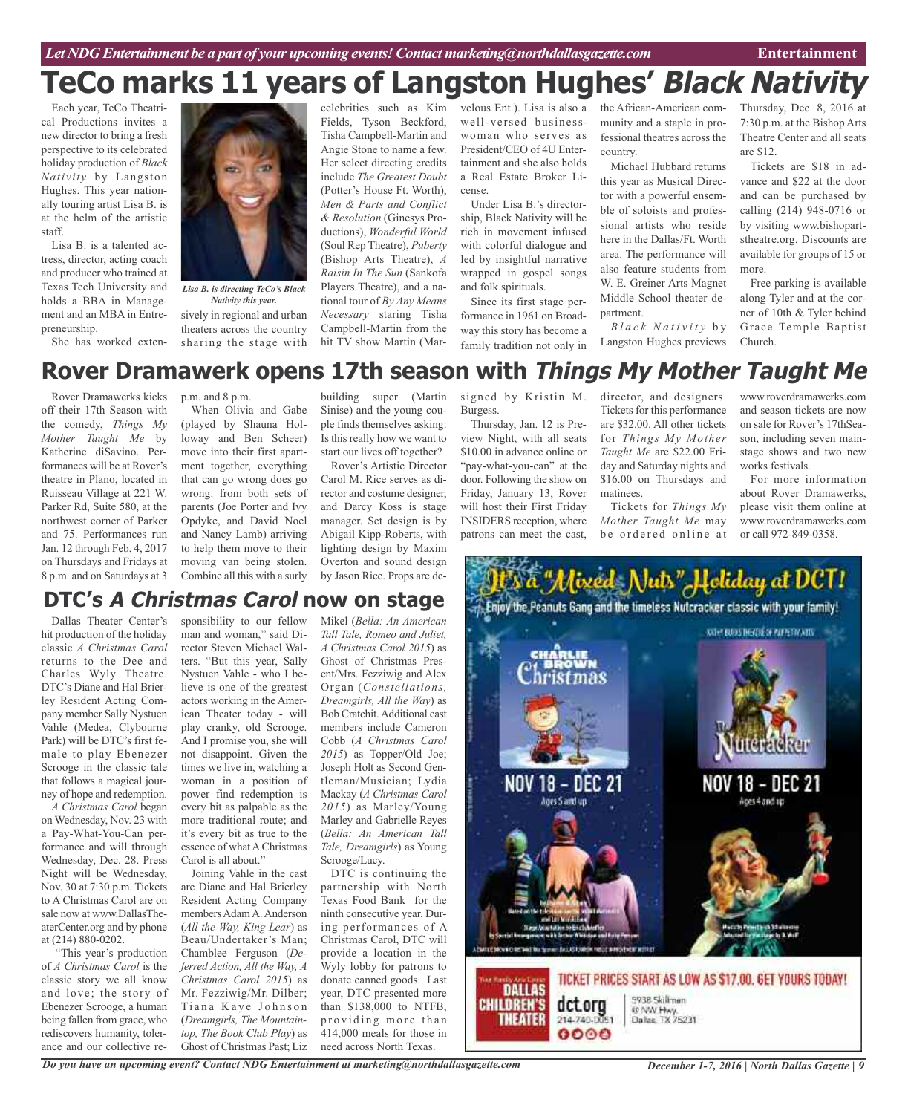# **TeCo marks 11 years of Langston Hughes' Black Nativity**

Each year, TeCo Theatrical Productions invites a new director to bring a fresh perspective to its celebrated holiday production of *Black Nativity* by Langston Hughes. This year nationally touring artist Lisa B. is at the helm of the artistic staff.

Lisa B. is a talented actress, director, acting coach and producer who trained at Texas Tech University and holds a BBA in Management and an MBA in Entrepreneurship.

She has worked exten-



*Lisa B. is directing TeCo's Black Nativity this year.*

sively in regional and urban theaters across the country sharing the stage with

celebrities such as Kim Fields, Tyson Beckford, Tisha Campbell-Martin and Angie Stone to name a few. Her select directing credits include *The Greatest Doubt* (Potter's House Ft. Worth), *Men & Parts and Conflict & Resolution* (Ginesys Productions), *Wonderful World* (Soul Rep Theatre), *Puberty* (Bishop Arts Theatre), *A Raisin In The Sun* (Sankofa Players Theatre), and a national tour of *By Any Means Necessary* staring Tisha Campbell-Martin from the hit TV show Martin (Marvelous Ent.). Lisa is also a well-versed businesswoman who serves as President/CEO of 4U Entertainment and she also holds a Real Estate Broker License.

Under Lisa B.'s directorship, Black Nativity will be rich in movement infused with colorful dialogue and led by insightful narrative wrapped in gospel songs and folk spirituals.

Since its first stage performance in 1961 on Broadway this story has become a family tradition not only in the African-American community and a staple in professional theatres across the country.

Michael Hubbard returns this year as Musical Director with a powerful ensemble of soloists and professional artists who reside here in the Dallas/Ft. Worth area. The performance will also feature students from W. E. Greiner Arts Magnet Middle School theater department.

*B l a c k N a t i v i t y* b y Langston Hughes previews

Thursday, Dec. 8, 2016 at 7:30 p.m. at the Bishop Arts Theatre Center and all seats are \$12.

Tickets are \$18 in advance and \$22 at the door and can be purchased by calling (214) 948-0716 or by visiting www.bishopartstheatre.org. Discounts are available for groups of 15 or more.

Free parking is available along Tyler and at the corner of 10th & Tyler behind Grace Temple Baptist Church.

## **Rover Dramawerk opens 17th season with Things My Mother Taught Me**

Rover Dramawerks kicks off their 17th Season with the comedy, *Things My Mother Taught Me* by Katherine diSavino. Performances will be at Rover's theatre in Plano, located in Ruisseau Village at 221 W. Parker Rd, Suite 580, at the northwest corner of Parker and 75. Performances run Jan. 12 through Feb. 4, 2017 on Thursdays and Fridays at 8 p.m. and on Saturdays at 3

p.m. and 8 p.m.

When Olivia and Gabe (played by Shauna Holloway and Ben Scheer) move into their first apartment together, everything that can go wrong does go wrong: from both sets of parents (Joe Porter and Ivy Opdyke, and David Noel and Nancy Lamb) arriving to help them move to their moving van being stolen. Combine all this with a surly

building super (Martin Sinise) and the young couple finds themselves asking: Is this really how we want to start our lives off together?

Rover's Artistic Director Carol M. Rice serves as director and costume designer, and Darcy Koss is stage manager. Set design is by Abigail Kipp-Roberts, with lighting design by Maxim Overton and sound design by Jason Rice. Props are de-

signed by Kristin M. Burgess. Thursday, Jan. 12 is Pre-

view Night, with all seats \$10.00 in advance online or "pay-what-you-can" at the door. Following the show on Friday, January 13, Rover will host their First Friday INSIDERS reception, where patrons can meet the cast,

director, and designers. Tickets for this performance are \$32.00. All other tickets for *Things My Mother Taught Me* are \$22.00 Friday and Saturday nights and \$16.00 on Thursdays and matinees.

Tickets for *Things My Mother Taught Me* may be ordered online at

www.roverdramawerks.com and season tickets are now on sale for Rover's 17thSeason, including seven mainstage shows and two new works festivals.

For more information about Rover Dramawerks, please visit them online at www.roverdramawerks.com or call 972-849-0358.

# the a "Mixed Nuts" Holiday at DCT! Enjoy the Peanuts Gang and the timeless Nutcracker classic with your family! KATHS BURNS THEATRE OF PAPPERY ACTS NOV 18 – DEC 21 NOV 18 - DEC Ages 5 and un Aces 4 and 10 FLESHOW O RESHE for Sizioni BALASTANIEN FIELD APROXIMENTATION TICKET PRICES START AS LOW AS \$17,00, GET YOURS TODAY! **DALLAS** 5938 Skillman **CHILDREN'S** dct.org **0 NW Hwy.**<br>Dallas, TX 75231 **THEATER** 214-740-0051  $0000$

### **DTC's A Christmas Carol now on stage**

Dallas Theater Center's hit production of the holiday classic *A Christmas Carol* returns to the Dee and Charles Wyly Theatre. DTC's Diane and Hal Brierley Resident Acting Company member Sally Nystuen Vahle (Medea, Clybourne Park) will be DTC's first female to play Ebenezer Scrooge in the classic tale that follows a magical journey of hope and redemption.

*A Christmas Carol* began on Wednesday, Nov. 23 with a Pay-What-You-Can performance and will through Wednesday, Dec. 28. Press Night will be Wednesday, Nov. 30 at 7:30 p.m. Tickets to A Christmas Carol are on sale now at www.DallasTheaterCenter.org and by phone at (214) 880-0202.

"This year's production of *A Christmas Carol* is the classic story we all know and love; the story of Ebenezer Scrooge, a human being fallen from grace, who rediscovers humanity, tolerance and our collective re-

sponsibility to our fellow man and woman," said Director Steven Michael Walters. "But this year, Sally Nystuen Vahle - who I believe is one of the greatest actors working in the American Theater today - will play cranky, old Scrooge. And I promise you, she will not disappoint. Given the times we live in, watching a woman in a position of power find redemption is every bit as palpable as the more traditional route; and it's every bit as true to the essence of what A Christmas Carol is all about."

Joining Vahle in the cast are Diane and Hal Brierley Resident Acting Company members Adam A. Anderson (*All the Way, King Lear*) as Beau/Undertaker's Man; Chamblee Ferguson (*Deferred Action, All the Way, A Christmas Carol 2015*) as Mr. Fezziwig/Mr. Dilber; Tiana Kaye Johnson (*Dreamgirls, The Mountaintop, The Book Club Play*) as Ghost of Christmas Past; Liz

*Do you have an upcoming event? Contact NDG Entertainment at marketing@northdallasgazette.com*

Mikel (*Bella: An American Tall Tale, Romeo and Juliet, A Christmas Carol 2015*) as Ghost of Christmas Present/Mrs. Fezziwig and Alex Organ (*Constellations, Dreamgirls, All the Way*) as Bob Cratchit.Additional cast members include Cameron Cobb (*A Christmas Carol 2015*) as Topper/Old Joe; Joseph Holt as Second Gentleman/Musician; Lydia Mackay (*A Christmas Carol 2015*) as Marley/Young Marley and Gabrielle Reyes (*Bella: An American Tall Tale, Dreamgirls*) as Young Scrooge/Lucy.

DTC is continuing the partnership with North Texas Food Bank for the ninth consecutive year. During performances of A Christmas Carol, DTC will provide a location in the Wyly lobby for patrons to donate canned goods. Last year, DTC presented more than \$138,000 to NTFB, providing more than 414,000 meals for those in need across North Texas.

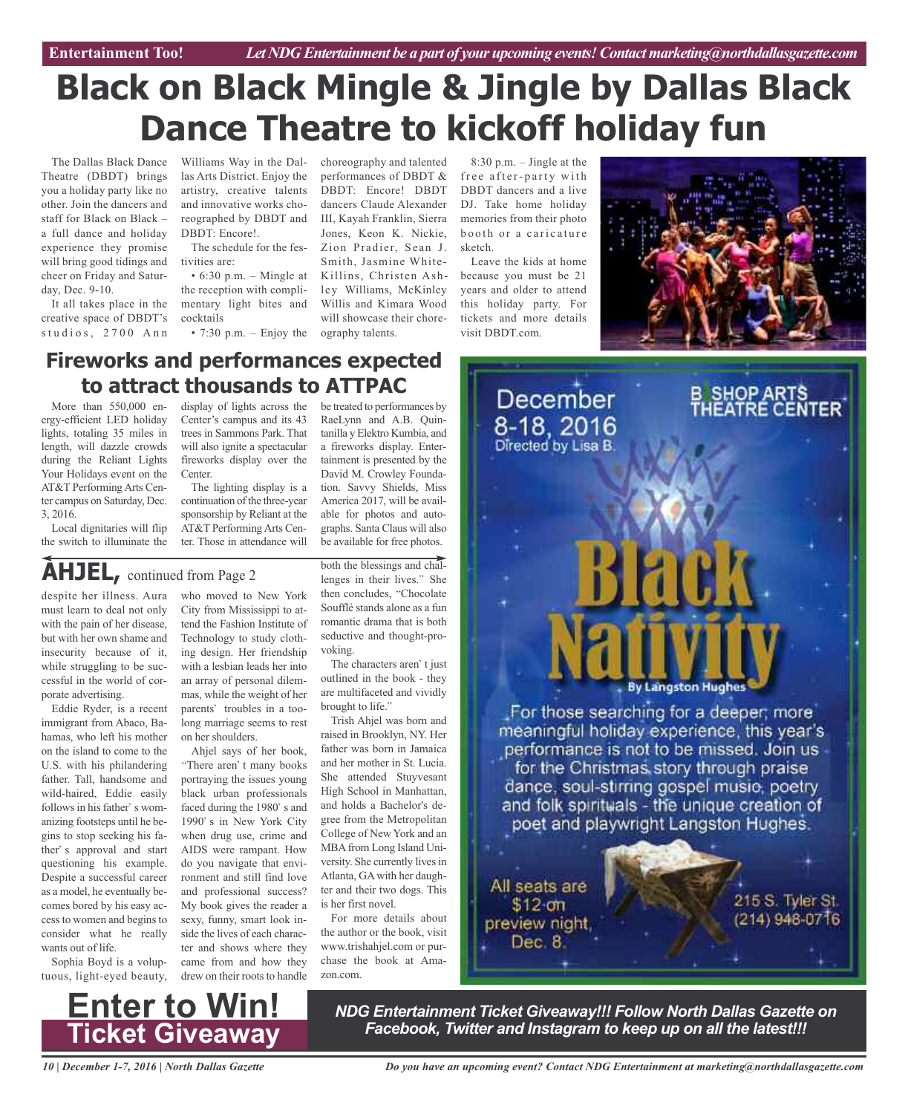# **Black on Black Mingle & Jingle by Dallas Black Dance Theatre to kickoff holiday fun**

The Dallas Black Dance Theatre (DBDT) brings you a holiday party like no other. Join the dancers and staff for Black on Black – a full dance and holiday experience they promise will bring good tidings and cheer on Friday and Saturday, Dec. 9-10.

It all takes place in the creative space of DBDT's studios, 2700 Ann

Williams Way in the Dallas Arts District. Enjoy the artistry, creative talents and innovative works choreographed by DBDT and DBDT: Encore!.

The schedule for the festivities are:

 $\cdot$  6:30 p.m. – Mingle at the reception with complimentary light bites and cocktails

• 7:30 p.m. – Enjoy the ography talents.

choreography and talented performances of DBDT & DBDT: Encore! DBDT dancers Claude Alexander III, Kayah Franklin, Sierra Jones, Keon K. Nickie, Zion Pradier, Sean J. Smith, Jasmine White-Killins, Christen Ashley Williams, McKinley Willis and Kimara Wood will showcase their chore-

RaeLynn and A.B. Quintanilla y Elektro Kumbia, and a fireworks display. Entertainment is presented by the David M. Crowley Foundation. Savvy Shields, Miss America 2017, will be available for photos and autographs. Santa Claus will also be available for free photos.

8:30 p.m. – Jingle at the free after-party with DBDT dancers and a live DJ. Take home holiday memories from their photo booth or a caricature sketch.

Leave the kids at home because you must be 21 years and older to attend this holiday party. For tickets and more details visit DBDT.com



### **Fireworks and performances expected to attract thousands to ATTPAC** be treated to performances by

More than 550,000 energy-efficient LED holiday lights, totaling 35 miles in length, will dazzle crowds during the Reliant Lights Your Holidays event on the AT&T PerformingArts Center campus on Saturday, Dec. 3, 2016.

Local dignitaries will flip the switch to illuminate the

display of lights across the Center's campus and its 43 trees in Sammons Park. That will also ignite a spectacular fireworks display over the Center.

The lighting display is a continuation of the three-year sponsorship by Reliant at the AT&T PerformingArts Center. Those in attendance will

# **AHJEL,** continued from Page <sup>2</sup>

despite her illness. Aura must learn to deal not only with the pain of her disease, but with her own shame and insecurity because of it, while struggling to be successful in the world of corporate advertising.

Eddie Ryder, is a recent immigrant from Abaco, Bahamas, who left his mother on the island to come to the U.S. with his philandering father. Tall, handsome and wild-haired, Eddie easily follows in his father's womanizing footsteps until he begins to stop seeking his father's approval and start questioning his example. Despite a successful career as a model, he eventually becomes bored by his easy accessto women and beginsto consider what he really wants out of life.

Sophia Boyd is a voluptuous, light-eyed beauty,

who moved to New York City from Mississippi to attend the Fashion Institute of Technology to study clothing design. Her friendship with a lesbian leads her into an array of personal dilemmas, while the weight of her parents' troubles in a toolong marriage seems to rest on her shoulders.

Ahjel says of her book, "There aren't many books portraying the issues young black urban professionals faced during the 1980's and 1990's in New York City when drug use, crime and AIDS were rampant. How do you navigate that environment and still find love and professional success? My book gives the reader a sexy, funny, smart look inside the lives of each character and shows where they came from and how they drew on their roots to handle

both the blessings and challenges in their lives." She then concludes, "Chocolate Soufflé stands alone as a fun romantic drama that is both seductive and thought-provoking.

The characters aren't just outlined in the book - they are multifaceted and vividly brought to life."

Trish Ahjel was born and raised in Brooklyn, NY. Her father was born in Jamaica and her mother in St. Lucia. She attended Stuyvesant High School in Manhattan, and holds a Bachelor's degree from the Metropolitan College of New York and an MBA from Long Island University. She currently lives in Atlanta, GAwith her daughter and their two dogs. This is her first novel.

For more details about the author or the book, visit www.trishahjel.com or purchase the book at Amazon.com.



**Enter to Win! Ticket Giveaway**

*NDG Entertainment Ticket Giveaway!!! Follow North Dallas Gazette on Facebook, Twitter and Instagram to keep up on all the latest!!!*

*10 | December 1-7, 2016 | North Dallas Gazette*

*Do you have an upcoming event? Contact NDG Entertainment at marketing@northdallasgazette.com*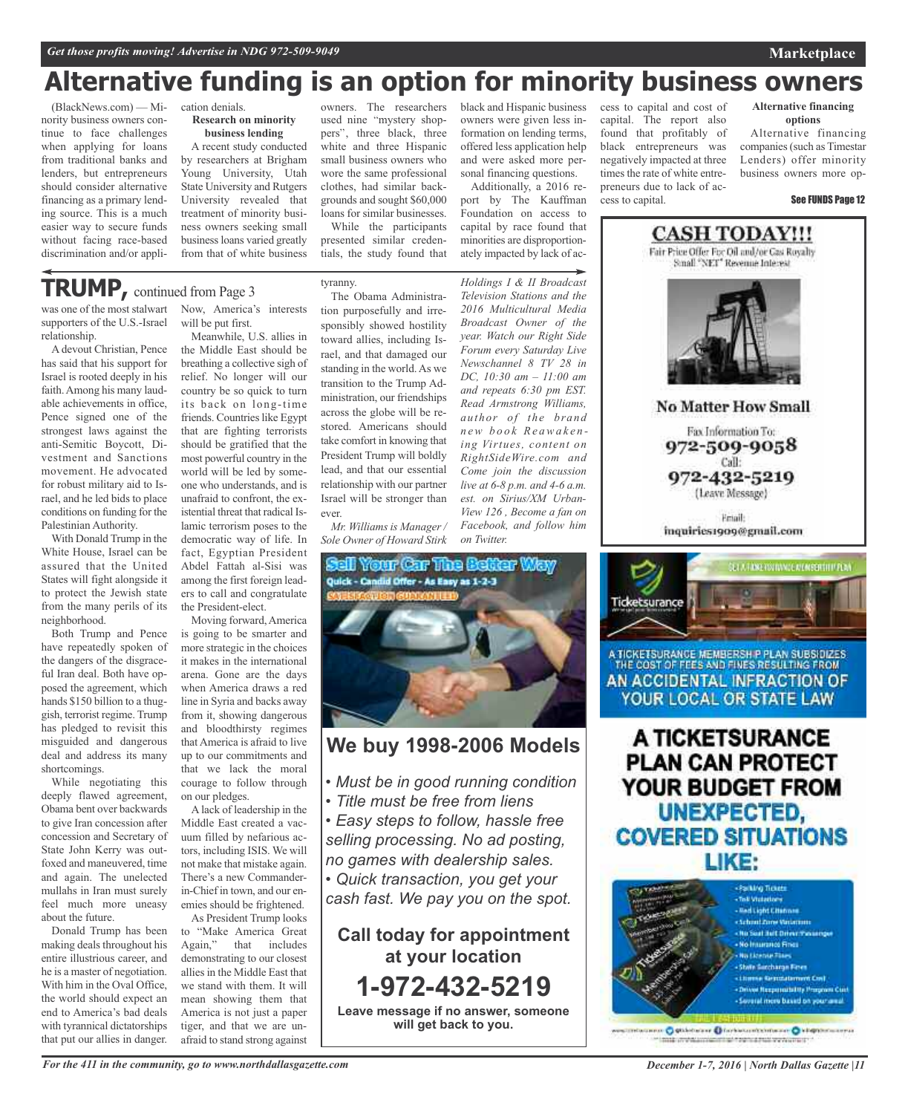# **Alternative funding is an option for minority business owners**

(BlackNews.com) — Minority business owners continue to face challenges when applying for loans from traditional banks and lenders, but entrepreneurs should consider alternative financing as a primary lending source. This is a much easier way to secure funds without facing race-based discrimination and/or application denials. **Research on minority business lending**

A recent study conducted by researchers at Brigham Young University, Utah State University and Rutgers University revealed that treatment of minority business owners seeking small businessloans varied greatly from that of white business

owners. The researchers used nine "mystery shoppers", three black, three white and three Hispanic small business owners who wore the same professional clothes, had similar backgrounds and sought \$60,000

loans for similar businesses. While the participants presented similar credentials, the study found that

### tyranny.

black and Hispanic business owners were given less information on lending terms, offered less application help and were asked more personal financing questions.

Additionally, a 2016 report by The Kauffman Foundation on access to capital by race found that minorities are disproportionately impacted by lack of ac-

*Holdings I & II Broadcast Television Stations and the 2016 Multicultural Media Broadcast Owner of the year. Watch our Right Side Forum every Saturday Live Newschannel 8 TV 28 in DC, 10:30 am – 11:00 am and repeats 6:30 pm EST. Read Armstrong Williams, author of the brand n ew b o o k Re awa k e n ing Virtues, content on RightSideWire.com and Come join the discussion live at 6-8 p.m. and 4-6 a.m. est. on Sirius/XM Urban-View 126 , Become a fan on Facebook, and follow him*

cess to capital and cost of capital. The report also found that profitably of black entrepreneurs was negatively impacted at three times the rate of white entrepreneurs due to lack of access to capital.

**Alternative financing options**

**Marketplace**

Alternative financing companies(such as Timestar Lenders) offer minority business owners more op-

#### See FUNDS Page 12

**CASH TODAY!!!** Fair Price Offer For Oil and/or Gas Royalty Small "NET" Revenue Interest

**No Matter How Small** 

Fax Information To: 972-509-9058 Call: 972-432-5219 (Leave Message)

**Email** inquiries1909@gmail.com



A TICKETSURANCE MEMBERSH P PLAN SUBSIDIZES THE COST OF FEES AND FINES RESULTING FROM AN ACCIDENTAL INFRACTION OF YOUR LOCAL OR STATE LAW

A TICKETSURANCE **PLAN CAN PROTECT** YOUR BUDGET FROM UNEXPECTED, **COVERED SITUATIONS** LIKE:



unter O qualche and O hardwarehouse or O kingstemanners make complete consideration of the first state or whether the

# **TRUMP,** continued from Page <sup>3</sup>

was one of the most stalwart supporters of the U.S.-Israel relationship.

Adevout Christian, Pence has said that his support for Israel is rooted deeply in his faith.Among his many laudable achievements in office, Pence signed one of the strongest laws against the anti-Semitic Boycott, Divestment and Sanctions movement. He advocated for robust military aid to Israel, and he led bids to place conditions on funding for the Palestinian Authority.

With Donald Trump in the White House, Israel can be assured that the United States will fight alongside it to protect the Jewish state from the many perils of its neighborhood.

Both Trump and Pence have repeatedly spoken of the dangers of the disgraceful Iran deal. Both have opposed the agreement, which hands \$150 billion to a thuggish, terrorist regime. Trump has pledged to revisit this misguided and dangerous deal and address its many shortcomings.

While negotiating this deeply flawed agreement, Obama bent over backwards to give Iran concession after concession and Secretary of State John Kerry was outfoxed and maneuvered, time and again. The unelected mullahs in Iran must surely feel much more uneasy about the future.

Donald Trump has been making deals throughout his entire illustrious career, and he is a master of negotiation. With him in the Oval Office, the world should expect an end to America's bad deals with tyrannical dictatorships that put our allies in danger.

Now, America's interests will be put first.

Meanwhile, U.S. allies in the Middle East should be breathing a collective sigh of relief. No longer will our country be so quick to turn its back on long-time friends. Countries like Egypt that are fighting terrorists should be gratified that the most powerful country in the world will be led by someone who understands, and is unafraid to confront, the existential threat that radical Islamic terrorism poses to the democratic way of life. In fact, Egyptian President Abdel Fattah al-Sisi was among the first foreign leaders to call and congratulate the President-elect.

Moving forward,America is going to be smarter and more strategic in the choices it makes in the international arena. Gone are the days when America draws a red line in Syria and backs away from it, showing dangerous and bloodthirsty regimes that America is afraid to live up to our commitments and that we lack the moral courage to follow through on our pledges.

Alack of leadership in the Middle East created a vacuum filled by nefarious actors, including ISIS. We will not make that mistake again. There's a new Commanderin-Chief in town, and our enemies should be frightened.

As President Trump looks to "Make America Great Again," that includes demonstrating to our closest allies in the Middle East that we stand with them. It will mean showing them that America is not just a paper tiger, and that we are unafraid to stand strong against

The Obama Administration purposefully and irresponsibly showed hostility toward allies, including Israel, and that damaged our standing in the world.As we transition to the Trump Administration, our friendships across the globe will be restored. Americans should take comfort in knowing that President Trump will boldly lead, and that our essential relationship with our partner Israel will be stronger than ever.

*Mr. Williams is Manager / Sole Owner of Howard Stirk*



*on Twitter.*

### **We buy 1998-2006 Models**

- *• Must be in good running condition*
- *• Title must be free from liens*
- *• Easy steps to follow, hassle free selling processing. No ad posting, no games with dealership sales.*
- *• Quick transaction, you get your*

*cash fast. We pay you on the spot.*

**Call today for appointment at your location 1-972-432-5219 Leave message if no answer, someone will get back to you.**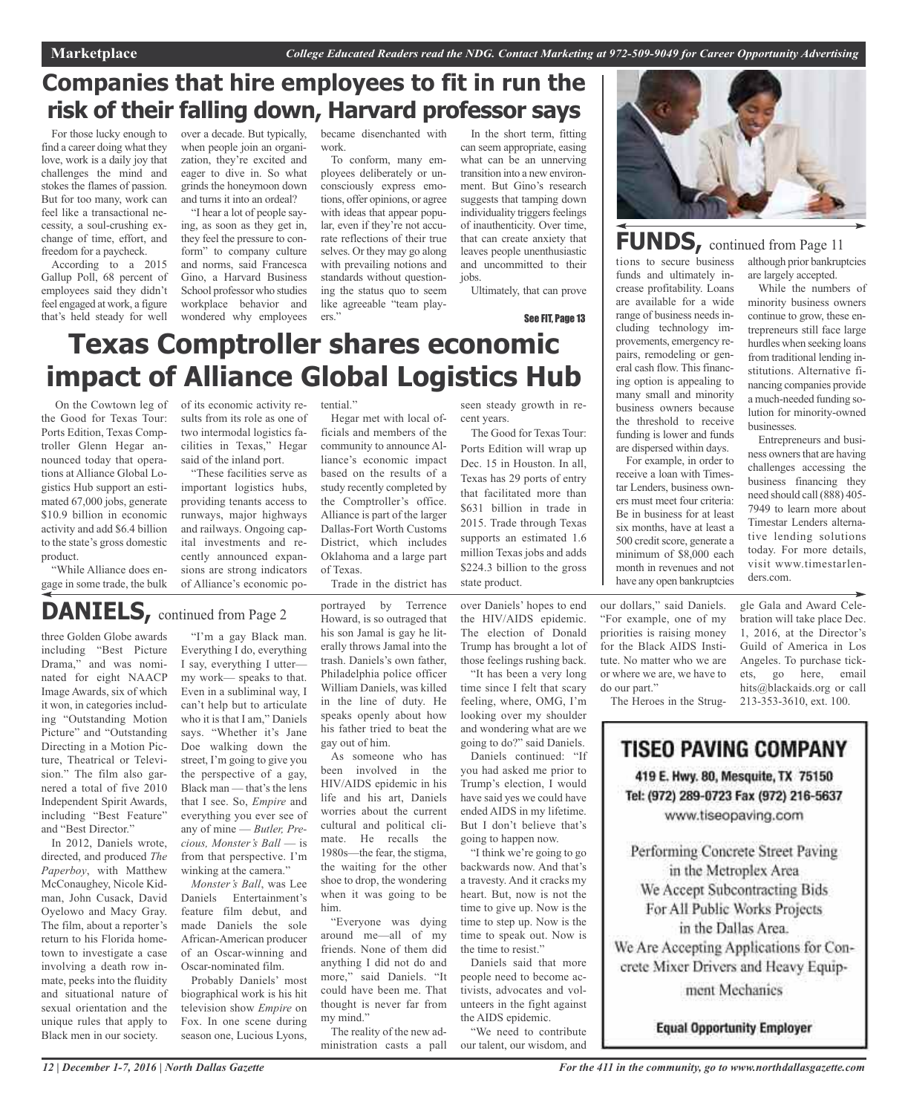# **Companies that hire employees to fit in run the risk of their falling down, Harvard professor says**

For those lucky enough to find a career doing what they love, work is a daily joy that challenges the mind and stokes the flames of passion. But for too many, work can feel like a transactional necessity, a soul-crushing exchange of time, effort, and freedom for a paycheck.

According to a 2015 Gallup Poll, 68 percent of employees said they didn't feel engaged at work, a figure that's held steady for well over a decade. But typically, when people join an organization, they're excited and eager to dive in. So what grinds the honeymoon down and turns it into an ordeal?

"I hear a lot of people saying, as soon as they get in, they feel the pressure to conform" to company culture and norms, said Francesca Gino, a Harvard Business School professor who studies workplace behavior and wondered why employees

became disenchanted with work.

To conform, many employees deliberately or unconsciously express emotions, offer opinions, or agree with ideas that appear popular, even if they're not accurate reflections of their true selves. Or they may go along with prevailing notions and standards without questioning the status quo to seem like agreeable "team players."

In the short term, fitting can seem appropriate, easing what can be an unnerving transition into a new environment. But Gino's research suggests that tamping down individuality triggers feelings of inauthenticity. Over time, that can create anxiety that leaves people unenthusiastic and uncommitted to their jobs.

Ultimately, that can prove

seen steady growth in re-

The Good for Texas Tour: Ports Edition will wrap up Dec. 15 in Houston. In all, Texas has 29 ports of entry that facilitated more than

cent years.

See FIT, Page 13

# **Texas Comptroller shares economic impact of Alliance Global Logistics Hub**

On the Cowtown leg of the Good for Texas Tour: Ports Edition, Texas Comptroller Glenn Hegar announced today that operations at Alliance Global Logistics Hub support an estimated 67,000 jobs, generate \$10.9 billion in economic activity and add \$6.4 billion to the state's gross domestic product.

"While Alliance does engage in some trade, the bulk of its economic activity results from its role as one of two intermodal logistics facilities in Texas," Hegar said of the inland port.

"These facilities serve as important logistics hubs, providing tenants access to runways, major highways and railways. Ongoing capital investments and recently announced expansions are strong indicators of Alliance's economic po-

tential."

Hegar met with local officials and members of the community to announce Alliance's economic impact based on the results of a study recently completed by the Comptroller's office. Alliance is part of the larger Dallas-Fort Worth Customs District, which includes Oklahoma and a large part of Texas.

Trade in the district has

# **DANIELS,** continued from Page <sup>2</sup>

three Golden Globe awards including "Best Picture Drama," and was nominated for eight NAACP Image Awards, six of which it won, in categories including "Outstanding Motion Picture" and "Outstanding Directing in a Motion Picture, Theatrical or Television." The film also garnered a total of five 2010 Independent Spirit Awards, including "Best Feature" and "Best Director."

In 2012, Daniels wrote, directed, and produced *The Paperboy*, with Matthew McConaughey, Nicole Kidman, John Cusack, David Oyelowo and Macy Gray. The film, about a reporter's return to his Florida hometown to investigate a case involving a death row inmate, peeks into the fluidity and situational nature of sexual orientation and the unique rules that apply to Black men in our society.

"I'm a gay Black man. Everything I do, everything I say, everything I utter my work— speaks to that. Even in a subliminal way, I can't help but to articulate who it is that I am," Daniels says. "Whether it's Jane Doe walking down the street, I'm going to give you the perspective of a gay, Black man — that's the lens that I see. So, *Empire* and everything you ever see of any of mine — *Butler, Precious, Monster's Ball* — is from that perspective. I'm winking at the camera."

*Monster's Ball*, was Lee Daniels Entertainment's feature film debut, and made Daniels the sole African-American producer of an Oscar-winning and Oscar-nominated film.

Probably Daniels' most biographical work is his hit television show *Empire* on Fox. In one scene during season one, Lucious Lyons,

portrayed by Terrence Howard, is so outraged that his son Jamal is gay he literally throws Jamal into the trash. Daniels's own father, Philadelphia police officer William Daniels, was killed in the line of duty. He speaks openly about how his father tried to beat the gay out of him.

As someone who has been involved in the HIV/AIDS epidemic in his life and his art, Daniels worries about the current cultural and political climate. He recalls the 1980s—the fear, the stigma, the waiting for the other shoe to drop, the wondering when it was going to be him.

"Everyone was dying around me—all of my friends. None of them did anything I did not do and more," said Daniels. "It could have been me. That thought is never far from my mind."

The reality of the new administration casts a pall

\$631 billion in trade in 2015. Trade through Texas supports an estimated 1.6 million Texas jobs and adds

\$224.3 billion to the gross

over Daniels' hopes to end the HIV/AIDS epidemic. The election of Donald Trump has brought a lot of those feelings rushing back. state product.

"It has been a very long time since I felt that scary feeling, where, OMG, I'm looking over my shoulder and wondering what are we

going to do?" said Daniels. Daniels continued: "If you had asked me prior to Trump's election, I would have said yes we could have ended AIDS in my lifetime. But I don't believe that's going to happen now.

"I think we're going to go backwards now. And that's a travesty. And it cracks my heart. But, now is not the time to give up. Now is the time to step up. Now is the time to speak out. Now is the time to resist."

Daniels said that more people need to become activists, advocates and volunteers in the fight against the AIDS epidemic.

"We need to contribute our talent, our wisdom, and



# **FUNDS,** continued from Page <sup>11</sup>

crease profitability. Loans are available for a wide range of business needs including technology improvements, emergency repairs, remodeling or general cash flow. This financing option is appealing to many small and minority business owners because the threshold to receive funding is lower and funds are dispersed within days. For example, in order to receive a loan with Timestar Lenders, business owners must meet four criteria: Be in business for at least six months, have at least a 500 credit score, generate a minimum of \$8,000 each month in revenues and not have any open bankruptcies

tions to secure business funds and ultimately inalthough prior bankruptcies are largely accepted.

> While the numbers of minority business owners continue to grow, these entrepreneurs still face large hurdles when seeking loans from traditional lending institutions. Alternative financing companies provide a much-needed funding solution for minority-owned businesses.

> Entrepreneurs and business owners that are having challenges accessing the business financing they need should call (888) 405- 7949 to learn more about Timestar Lenders alternative lending solutions today. For more details, visit www.timestarlenders.com.

our dollars," said Daniels. "For example, one of my priorities is raising money for the Black AIDS Institute. No matter who we are or where we are, we have to do our part."

The Heroes in the Strug-

gle Gala and Award Celebration will take place Dec. 1, 2016, at the Director's Guild of America in Los Angeles. To purchase tickets, go here, email hits@blackaids.org or call 213-353-3610, ext. 100.

**TISEO PAVING COMPANY** 419 E. Hwy. 80, Mesquite, TX 75150 Tel: (972) 289-0723 Fax (972) 216-5637 www.tiseopaving.com

Performing Concrete Street Paving in the Metroplex Area We Accept Subcontracting Bids For All Public Works Projects in the Dallas Area. We Are Accepting Applications for Concrete Mixer Drivers and Heavy Equip-

ment Mechanics

**Equal Opportunity Employer**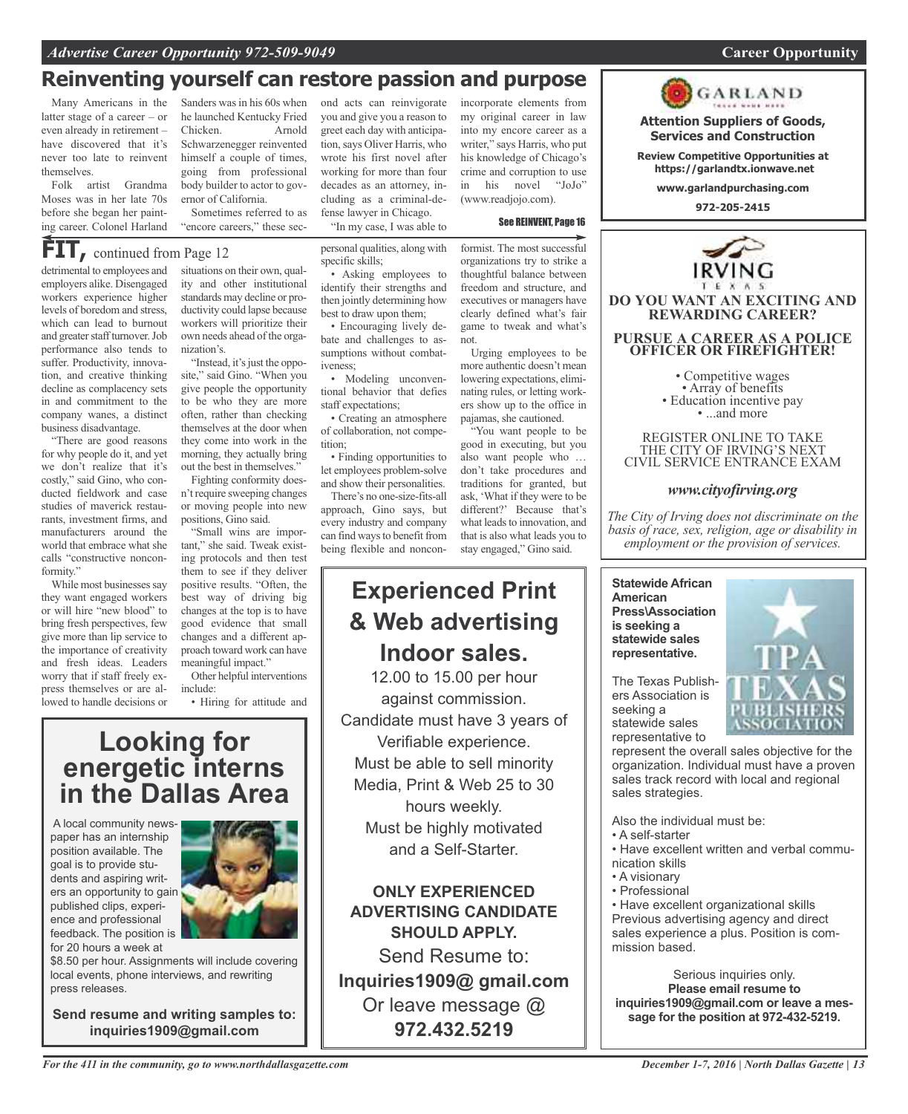### *Advertise Career Opportunity 972-509-9049* **Career Opportunity**

### **Reinventing yourself can restore passion and purpose**

Many Americans in the latter stage of a career – or even already in retirement – have discovered that it's never too late to reinvent themselves.

Folk artist Grandma Moses was in her late 70s before she began her painting career. Colonel Harland

detrimental to employees and employers alike. Disengaged workers experience higher levels of boredom and stress, which can lead to burnout **FIT,** continued from Page <sup>12</sup>

and greater staff turnover. Job performance also tends to suffer. Productivity, innovation, and creative thinking decline as complacency sets in and commitment to the company wanes, a distinct business disadvantage.

"There are good reasons for why people do it, and yet we don't realize that it's costly," said Gino, who conducted fieldwork and case studies of maverick restaurants, investment firms, and manufacturers around the world that embrace what she calls "constructive nonconformity."

While most businesses say they want engaged workers or will hire "new blood" to bring fresh perspectives, few give more than lip service to the importance of creativity and fresh ideas. Leaders worry that if staff freely express themselves or are allowed to handle decisions or

meaningful impact." Other helpful interventions

• Hiring for attitude and

# **Looking for energetic interns in the Dallas Area**

A local community newspaper has an internship position available. The goal is to provide students and aspiring writers an opportunity to gain published clips, experience and professional feedback. The position is for 20 hours a week at



\$8.50 per hour. Assignments will include covering local events, phone interviews, and rewriting press releases.

**Send resume and writing samples to: inquiries1909@gmail.com**

Sanders was in his 60s when he launched Kentucky Fried Chicken. Arnold Schwarzenegger reinvented himself a couple of times, going from professional body builder to actor to governor of California.

Sometimes referred to as "encore careers," these sec-

situations on their own, quality and other institutional standards may decline or productivity could lapse because workers will prioritize their own needs ahead of the orga-

nization's. "Instead, it's just the opposite," said Gino. "When you give people the opportunity to be who they are more often, rather than checking themselves at the door when they come into work in the morning, they actually bring out the best in themselves."

Fighting conformity doesn't require sweeping changes or moving people into new positions, Gino said.

"Small wins are important," she said. Tweak existing protocols and then test them to see if they deliver positive results. "Often, the best way of driving big changes at the top is to have good evidence that small changes and a different approach toward work can have

include:

ond acts can reinvigorate you and give you a reason to greet each day with anticipation,says Oliver Harris, who wrote his first novel after working for more than four decades as an attorney, including as a criminal-defense lawyer in Chicago.

"In my case, I was able to

personal qualities, along with specific skills;

• Asking employees to identify their strengths and then jointly determining how best to draw upon them;

• Encouraging lively debate and challenges to assumptions without combativeness;

• Modeling unconventional behavior that defies staff expectations;

• Creating an atmosphere of collaboration, not competition;

• Finding opportunities to let employees problem-solve and show their personalities.

There's no one-size-fits-all approach, Gino says, but every industry and company can find ways to benefit from being flexible and noncon-

# **Experienced Print & Web advertising Indoor sales.**

12.00 to 15.00 per hour against commission. Candidate must have 3 years of Verifiable experience. Must be able to sell minority Media, Print & Web 25 to 30 hours weekly. Must be highly motivated and a Self-Starter.

**ONLY EXPERIENCED ADVERTISING CANDIDATE SHOULD APPLY.**

Send Resume to: **Inquiries1909@ gmail.com** Or leave message @ **972.432.5219**

incorporate elements from my original career in law into my encore career as a writer," says Harris, who put his knowledge of Chicago's crime and corruption to use in his novel "JoJo" (www.readjojo.com).

### See REINVENT, Page 16

formist. The most successful organizations try to strike a thoughtful balance between freedom and structure, and executives or managers have clearly defined what's fair game to tweak and what's not.

Urging employees to be more authentic doesn't mean lowering expectations, eliminating rules, or letting workers show up to the office in pajamas, she cautioned.

"You want people to be good in executing, but you also want people who … don't take procedures and traditions for granted, but ask, 'What if they were to be different?' Because that's what leads to innovation, and that is also what leads you to stay engaged," Gino said.

### **Statewide African American Press\Association is seeking a statewide sales**

The Texas Publishers Association is seeking a statewide sales representative to

**representative.**

represent the overall sales objective for the organization. Individual must have a proven sales track record with local and regional sales strategies.

Also the individual must be:

- A self-starter
- Have excellent written and verbal communication skills
- A visionary
- Professional

• Have excellent organizational skills Previous advertising agency and direct sales experience a plus. Position is commission based.

Serious inquiries only. **Please email resume to inquiries1909@gmail.com or leave a message for the position at 972-432-5219.**





**Attention Suppliers of Goods, Services and Construction**

**Review Competitive Opportunities at https://garlandtx.ionwave.net**

**www.garlandpurchasing.com**

**972-205-2415**

**DO YOU WANT AN EXCITING AND REWARDING CAREER?**

**PURSUE A CAREER AS A POLICE OFFICER OR FIREFIGHTER!**

• Competitive wages<br>• Array of benefits<br>• Education incentive pay<br>• ...and more

REGISTER ONLINE TO TAKE THE CITY OF IRVING'S NEXT CIVIL SERVICE ENTRANCE EXAM

*www.cityofirving.org*

*The City of Irving does not discriminate on the basis of race, sex, religion, age or disability in employment or the provision of services.*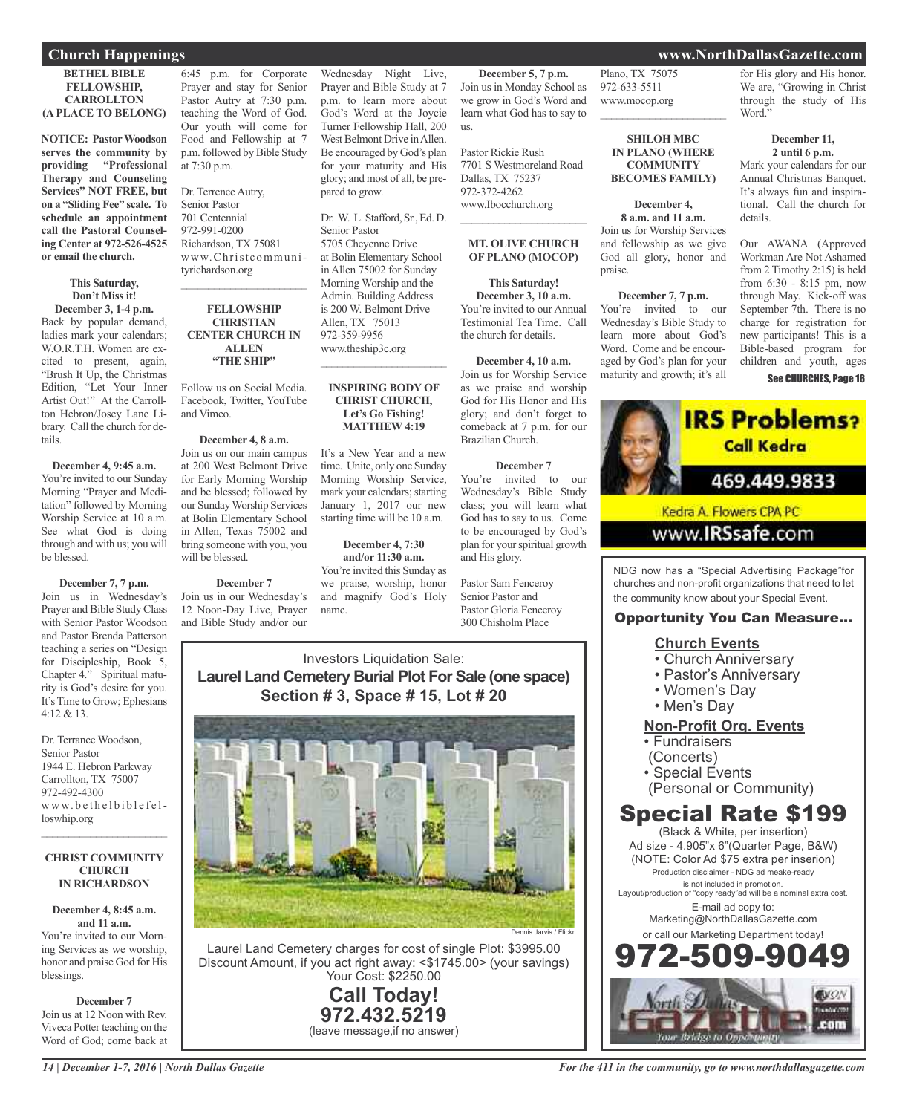### **Church Happenings www.NorthDallasGazette.com**

### **BETHEL BIBLE FELLOWSHIP, CARROLLTON (A PLACE TO BELONG)**

**NOTICE: Pastor Woodson serves the community by providing "Professional Therapy and Counseling Services" NOT FREE, but on a "Sliding Fee" scale. To schedule an appointment call the Pastoral Counseling Center at 972-526-4525 or email the church.**

### **This Saturday, Don't Miss it! December 3, 1-4 p.m.**

Back by popular demand, ladies mark your calendars; W.O.R.T.H. Women are excited to present, again, "Brush It Up, the Christmas Edition, "Let Your Inner Artist Out!" At the Carrollton Hebron/Josey Lane Library. Call the church for details.

### **December 4, 9:45 a.m.**

You're invited to our Sunday Morning "Prayer and Meditation" followed by Morning Worship Service at 10 a.m. See what God is doing through and with us; you will be blessed.

#### **December 7, 7 p.m.** Join us in Wednesday's Prayer and Bible Study Class with Senior Pastor Woodson and Pastor Brenda Patterson teaching a series on "Design for Discipleship, Book 5, Chapter 4." Spiritual maturity is God's desire for you. It's Time to Grow; Ephesians 4:12 & 13.

Dr. Terrance Woodson, Senior Pastor 1944 E. Hebron Parkway Carrollton, TX 75007 972-492-4300 www.bethelbiblefelloswhip.org

#### **CHRIST COMMUNITY CHURCH IN RICHARDSON**

 $\overline{\phantom{a}}$  ,  $\overline{\phantom{a}}$  ,  $\overline{\phantom{a}}$  ,  $\overline{\phantom{a}}$  ,  $\overline{\phantom{a}}$  ,  $\overline{\phantom{a}}$  ,  $\overline{\phantom{a}}$  ,  $\overline{\phantom{a}}$  ,  $\overline{\phantom{a}}$  ,  $\overline{\phantom{a}}$  ,  $\overline{\phantom{a}}$  ,  $\overline{\phantom{a}}$  ,  $\overline{\phantom{a}}$  ,  $\overline{\phantom{a}}$  ,  $\overline{\phantom{a}}$  ,  $\overline{\phantom{a}}$ 

### **December 4, 8:45 a.m. and 11 a.m.**

You're invited to our Morning Services as we worship, honor and praise God for His blessings.

**December 7**

Join us at 12 Noon with Rev. Viveca Potter teaching on the Word of God; come back at

6:45 p.m. for Corporate Prayer and stay for Senior Pastor Autry at 7:30 p.m. teaching the Word of God. Our youth will come for Food and Fellowship at 7 p.m. followed by Bible Study at 7:30 p.m.

Dr. Terrence Autry, Senior Pastor 701 Centennial 972-991-0200 Richardson, TX 75081 www.Christcommunityrichardson.org

### **FELLOWSHIP CHRISTIAN CENTER CHURCH IN ALLEN "THE SHIP"**

 $\mathcal{L}_\text{max}$  , where  $\mathcal{L}_\text{max}$  and  $\mathcal{L}_\text{max}$ 

Follow us on Social Media. Facebook, Twitter, YouTube and Vimeo.

### **December 4, 8 a.m.**

Join us on our main campus at 200 West Belmont Drive for Early Morning Worship and be blessed; followed by our SundayWorship Services at Bolin Elementary School in Allen, Texas 75002 and bring someone with you, you will be blessed.

### **December 7**

Join us in our Wednesday's 12 Noon-Day Live, Prayer and Bible Study and/or our

Wednesday Night Live, Prayer and Bible Study at 7 p.m. to learn more about God's Word at the Joycie Turner Fellowship Hall, 200 West Belmont Drive in Allen. Be encouraged by God's plan for your maturity and His glory; and most of all, be prepared to grow.

Dr. W. L. Stafford, Sr., Ed. D. Senior Pastor 5705 Cheyenne Drive at Bolin Elementary School in Allen 75002 for Sunday Morning Worship and the Admin. Building Address is 200 W. Belmont Drive Allen, TX 75013 972-359-9956 www.theship3c.org

### **INSPIRING BODY OF CHRIST CHURCH, Let's Go Fishing! MATTHEW 4:19**

 $\overline{\phantom{a}}$  , and the set of the set of the set of the set of the set of the set of the set of the set of the set of the set of the set of the set of the set of the set of the set of the set of the set of the set of the s

It's a New Year and a new time. Unite, only one Sunday Morning Worship Service, mark your calendars; starting January 1, 2017 our new starting time will be 10 a.m.

**December 4, 7:30 and/or 11:30 a.m.** You're invited this Sunday as we praise, worship, honor and magnify God's Holy name.

**December 5, 7 p.m.** Join us in Monday School as we grow in God's Word and learn what God has to say to us.

Pastor Rickie Rush 7701 S Westmoreland Road Dallas, TX 75237 972-372-4262 www.Ibocchurch.org

### **MT. OLIVE CHURCH OF PLANO (MOCOP)**

 $\mathcal{L}_\text{max}$  , where  $\mathcal{L}_\text{max}$  and  $\mathcal{L}_\text{max}$ 

**This Saturday! December 3, 10 a.m.** You're invited to our Annual Testimonial Tea Time. Call

the church for details.

**December 4, 10 a.m.** Join us for Worship Service as we praise and worship God for His Honor and His glory; and don't forget to comeback at 7 p.m. for our Brazilian Church.

### **December 7**

You're invited to our Wednesday's Bible Study class; you will learn what God has to say to us. Come to be encouraged by God's plan for yourspiritual growth and His glory.

Pastor Sam Fenceroy Senior Pastor and Pastor Gloria Fenceroy 300 Chisholm Place

Investors Liquidation Sale: **Laurel Land Cemetery Burial Plot For Sale (one space) Section # 3, Space # 15, Lot # 20**



Laurel Land Cemetery charges for cost of single Plot: \$3995.00 Discount Amount, if you act right away: <\$1745.00> (your savings) Your Cost: \$2250.00

> **Call Today! 972.432.5219** (leave message,if no answer)

### Plano, TX 75075 972-633-5511 www.mocop.org  $\overline{\phantom{a}}$  ,  $\overline{\phantom{a}}$  ,  $\overline{\phantom{a}}$  ,  $\overline{\phantom{a}}$  ,  $\overline{\phantom{a}}$  ,  $\overline{\phantom{a}}$  ,  $\overline{\phantom{a}}$  ,  $\overline{\phantom{a}}$  ,  $\overline{\phantom{a}}$  ,  $\overline{\phantom{a}}$  ,  $\overline{\phantom{a}}$  ,  $\overline{\phantom{a}}$  ,  $\overline{\phantom{a}}$  ,  $\overline{\phantom{a}}$  ,  $\overline{\phantom{a}}$  ,  $\overline{\phantom{a}}$

**SHILOH MBC IN PLANO (WHERE COMMUNITY BECOMES FAMILY)**

### **December 4,**

**8 a.m. and 11 a.m.** Join us for Worship Services and fellowship as we give God all glory, honor and praise.

### **December 7, 7 p.m.**

You're invited to our Wednesday's Bible Study to learn more about God's Word. Come and be encouraged by God's plan for your maturity and growth; it's all



### **December 11, 2 until 6 p.m.**

Mark your calendars for our Annual Christmas Banquet. It's always fun and inspirational. Call the church for details.

Our AWANA (Approved Workman Are Not Ashamed from 2 Timothy 2:15) is held from 6:30 - 8:15 pm, now through May. Kick-off was September 7th. There is no charge for registration for new participants! This is a Bible-based program for children and youth, ages See CHURCHES, Page 16



NDG now has a "Special Advertising Package"for churches and non-profit organizations that need to let the community know about your Special Event.

### Opportunity You Can Measure...

### **Church Events**

- Church Anniversary
- Pastor's Anniversary
- Women's Day
- Men's Day

### **Non-Profit Org. Events**

- Fundraisers
- (Concerts)
- Special Events
- (Personal or Community)

# Special Rate \$199

(Black & White, per insertion) Ad size - 4.905"x 6"(Quarter Page, B&W) (NOTE: Color Ad \$75 extra per inserion) Production disclaimer - NDG ad meake-ready is not included in promotion. Layout/production of "copy ready"ad will be a nominal extra cost. E-mail ad copy to: Marketing@NorthDallasGazette.com or call our Marketing Department today! 972-509-9049

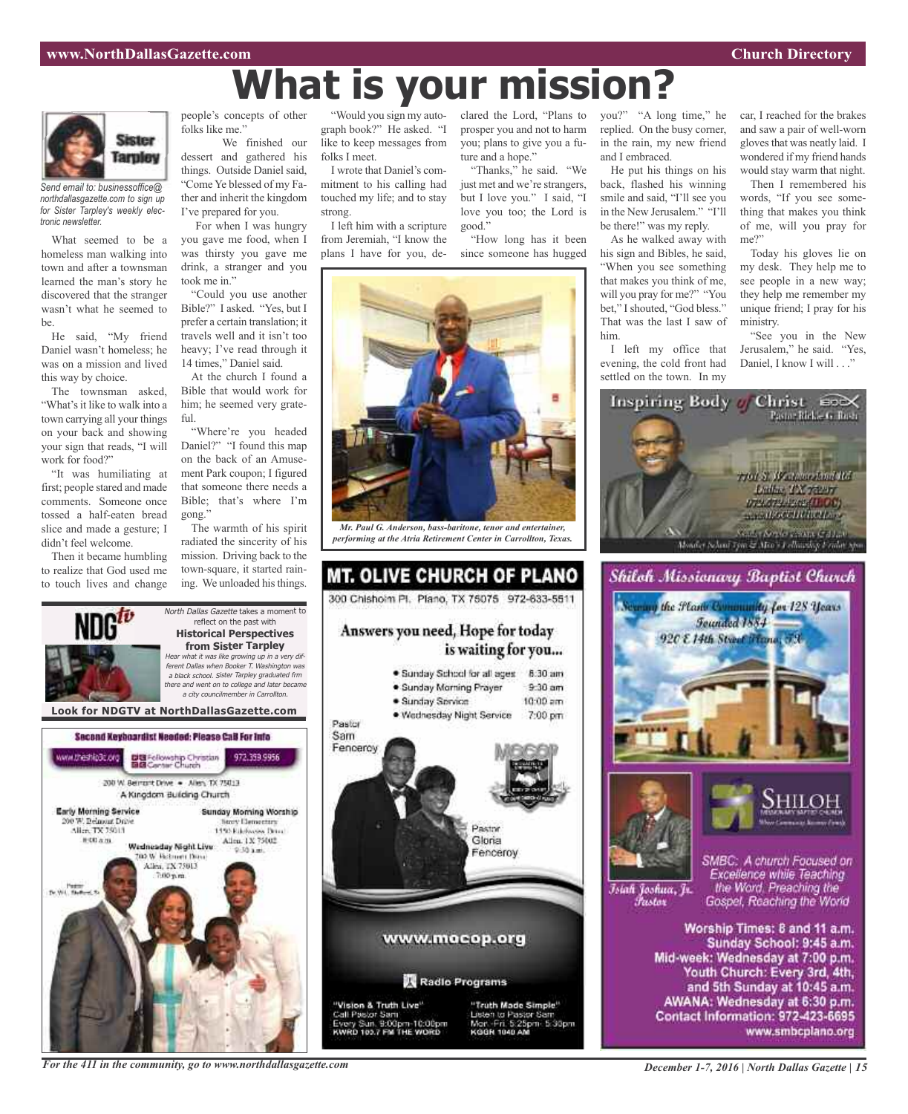# **What is your mission?**



*Send email to: businessoffice@ northdallasgazette.com to sign up for Sister Tarpley's weekly electronic newsletter.*

What seemed to be a homeless man walking into town and after a townsman learned the man's story he discovered that the stranger wasn't what he seemed to be.

He said, "My friend Daniel wasn't homeless; he was on a mission and lived this way by choice.

The townsman asked, "What's it like to walk into a town carrying all your things on your back and showing your sign that reads, "I will work for food?"

"It was humiliating at first; people stared and made comments. Someone once tossed a half-eaten bread slice and made a gesture; I didn't feel welcome.

Then it became humbling to realize that God used me to touch lives and change

ww.theship3c.org

**Early Morning Service** 

00 W. Belmont Drive

Alice TX 75013

**图 00 点 图** 

people's concepts of other folks like me."

We finished our dessert and gathered his things. Outside Daniel said, "Come Ye blessed of my Father and inherit the kingdom I've prepared for you.

For when I was hungry you gave me food, when I was thirsty you gave me drink, a stranger and you took me in."

"Could you use another Bible?" I asked. "Yes, but I prefer a certain translation; it travels well and it isn't too heavy; I've read through it 14 times," Daniel said.

At the church I found a Bible that would work for him; he seemed very grateful.

"Where're you headed Daniel?" "I found this map on the back of an Amusement Park coupon; I figured that someone there needs a Bible; that's where I'm gong."

The warmth of his spirit radiated the sincerity of his mission. Driving back to the town-square, it started raining. We unloaded histhings.

"Would you sign my autograph book?" He asked. "I like to keep messages from folks I meet.

I wrote that Daniel's commitment to his calling had touched my life; and to stay strong.

I left him with a scripture from Jeremiah, "I know the plans I have for you, deprosper you and not to harm you; plans to give you a future and a hope."

"Thanks," he said. "We just met and we're strangers, but I love you." I said, "I love you too; the Lord is good."

"How long has it been since someone has hugged



*Mr. Paul G. Anderson, bass-baritone, tenor and entertainer, performing at the Atria Retirement Center in Carrollton, Texas.*



clared the Lord, "Plans to you?" "A long time," he replied. On the busy corner, in the rain, my new friend and I embraced.

> He put his things on his back, flashed his winning smile and said, "I'll see you in the New Jerusalem." "I'll be there!" was my reply.

As he walked away with his sign and Bibles, he said, "When you see something that makes you think of me, will you pray for me?" "You bet," I shouted, "God bless." That was the last I saw of him.

I left my office that evening, the cold front had settled on the town. In my

car, I reached for the brakes and saw a pair of well-worn gloves that was neatly laid. I wondered if my friend hands would stay warm that night.

Then I remembered his words, "If you see something that makes you think of me, will you pray for me?"

Today his gloves lie on my desk. They help me to see people in a new way; they help me remember my unique friend; I pray for his ministry.

"See you in the New Jerusalem," he said. "Yes, Daniel, I know I will . . ."







Islah Joshua, Jr. Fustor

SMBC: A church Focused on Excellence while Teaching the Word. Preaching the Gospel, Reaching the World

Worship Times: 8 and 11 a.m. Sunday School: 9:45 a.m. Mid-week: Wednesday at 7:00 p.m. Youth Church: Every 3rd, 4th, and 5th Sunday at 10:45 a.m. AWANA: Wednesday at 6:30 p.m. Contact Information: 972-423-6695 www.smbcplano.org

Second Keyboardist Needed: Please CaB For Info

DE Fellowship Christian<br>BIB Center Church

200 W. Bernsht Drive . - Allen, TX 75013 A Kingdom Building Church

Wadnasday Night Live

**DO W. Retroem Days** 

Allen, TX 75013

*For the 411 in the community, go to www.northdallasgazette.com*